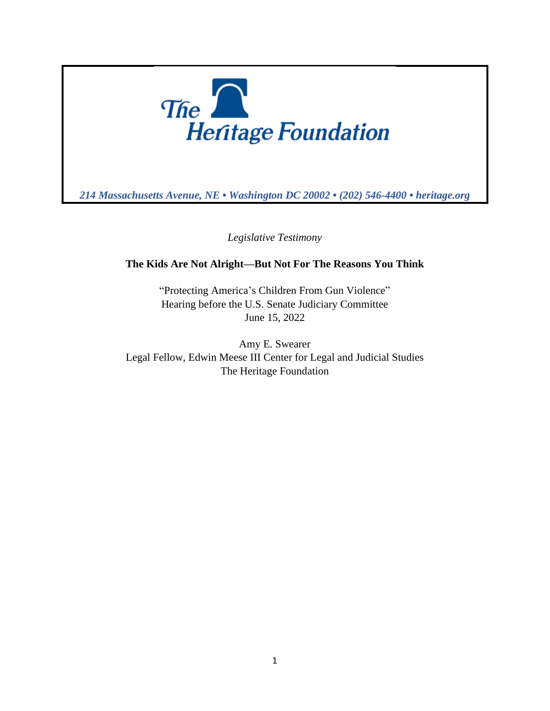

*214 Massachusetts Avenue, NE • Washington DC 20002 • (202) 546-4400 • heritage.org*

*Legislative Testimony*

# **The Kids Are Not Alright—But Not For The Reasons You Think**

"Protecting America's Children From Gun Violence" Hearing before the U.S. Senate Judiciary Committee June 15, 2022

Amy E. Swearer Legal Fellow, Edwin Meese III Center for Legal and Judicial Studies The Heritage Foundation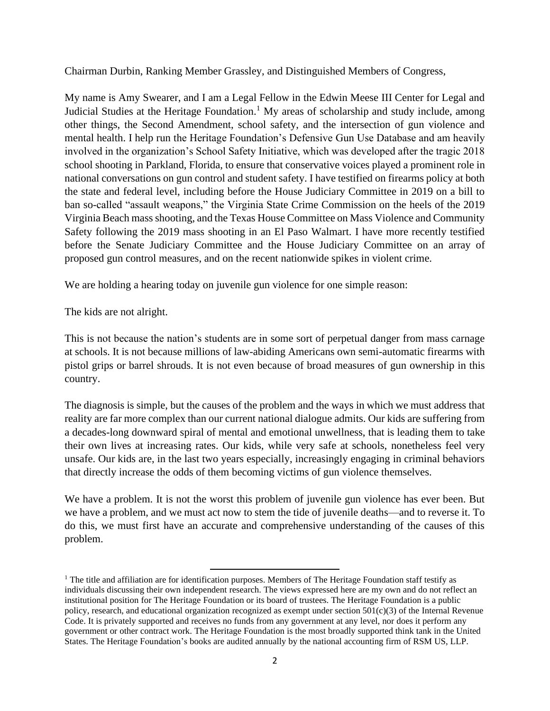Chairman Durbin, Ranking Member Grassley, and Distinguished Members of Congress,

My name is Amy Swearer, and I am a Legal Fellow in the Edwin Meese III Center for Legal and Judicial Studies at the Heritage Foundation.<sup>1</sup> My areas of scholarship and study include, among other things, the Second Amendment, school safety, and the intersection of gun violence and mental health. I help run the Heritage Foundation's Defensive Gun Use Database and am heavily involved in the organization's School Safety Initiative, which was developed after the tragic 2018 school shooting in Parkland, Florida, to ensure that conservative voices played a prominent role in national conversations on gun control and student safety. I have testified on firearms policy at both the state and federal level, including before the House Judiciary Committee in 2019 on a bill to ban so-called "assault weapons," the Virginia State Crime Commission on the heels of the 2019 Virginia Beach mass shooting, and the Texas House Committee on Mass Violence and Community Safety following the 2019 mass shooting in an El Paso Walmart. I have more recently testified before the Senate Judiciary Committee and the House Judiciary Committee on an array of proposed gun control measures, and on the recent nationwide spikes in violent crime.

We are holding a hearing today on juvenile gun violence for one simple reason:

The kids are not alright.

This is not because the nation's students are in some sort of perpetual danger from mass carnage at schools. It is not because millions of law-abiding Americans own semi-automatic firearms with pistol grips or barrel shrouds. It is not even because of broad measures of gun ownership in this country.

The diagnosis is simple, but the causes of the problem and the ways in which we must address that reality are far more complex than our current national dialogue admits. Our kids are suffering from a decades-long downward spiral of mental and emotional unwellness, that is leading them to take their own lives at increasing rates. Our kids, while very safe at schools, nonetheless feel very unsafe. Our kids are, in the last two years especially, increasingly engaging in criminal behaviors that directly increase the odds of them becoming victims of gun violence themselves.

We have a problem. It is not the worst this problem of juvenile gun violence has ever been. But we have a problem, and we must act now to stem the tide of juvenile deaths—and to reverse it. To do this, we must first have an accurate and comprehensive understanding of the causes of this problem.

 $<sup>1</sup>$  The title and affiliation are for identification purposes. Members of The Heritage Foundation staff testify as</sup> individuals discussing their own independent research. The views expressed here are my own and do not reflect an institutional position for The Heritage Foundation or its board of trustees. The Heritage Foundation is a public policy, research, and educational organization recognized as exempt under section  $501(c)(3)$  of the Internal Revenue Code. It is privately supported and receives no funds from any government at any level, nor does it perform any government or other contract work. The Heritage Foundation is the most broadly supported think tank in the United States. The Heritage Foundation's books are audited annually by the national accounting firm of RSM US, LLP.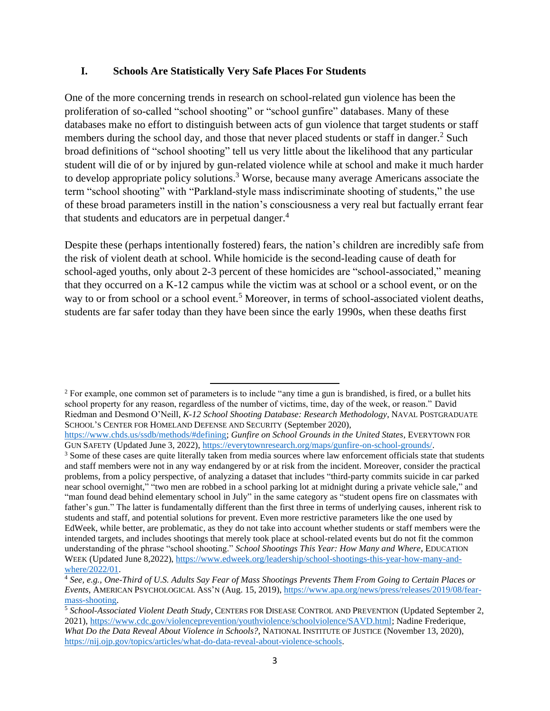#### **I. Schools Are Statistically Very Safe Places For Students**

One of the more concerning trends in research on school-related gun violence has been the proliferation of so-called "school shooting" or "school gunfire" databases. Many of these databases make no effort to distinguish between acts of gun violence that target students or staff members during the school day, and those that never placed students or staff in danger.<sup>2</sup> Such broad definitions of "school shooting" tell us very little about the likelihood that any particular student will die of or by injured by gun-related violence while at school and make it much harder to develop appropriate policy solutions.<sup>3</sup> Worse, because many average Americans associate the term "school shooting" with "Parkland-style mass indiscriminate shooting of students," the use of these broad parameters instill in the nation's consciousness a very real but factually errant fear that students and educators are in perpetual danger.<sup>4</sup>

Despite these (perhaps intentionally fostered) fears, the nation's children are incredibly safe from the risk of violent death at school. While homicide is the second-leading cause of death for school-aged youths, only about 2-3 percent of these homicides are "school-associated," meaning that they occurred on a K-12 campus while the victim was at school or a school event, or on the way to or from school or a school event.<sup>5</sup> Moreover, in terms of school-associated violent deaths, students are far safer today than they have been since the early 1990s, when these deaths first

<sup>&</sup>lt;sup>2</sup> For example, one common set of parameters is to include "any time a gun is brandished, is fired, or a bullet hits school property for any reason, regardless of the number of victims, time, day of the week, or reason." David Riedman and Desmond O'Neill, *K-12 School Shooting Database: Research Methodology*, NAVAL POSTGRADUATE SCHOOL'S CENTER FOR HOMELAND DEFENSE AND SECURITY (September 2020),

[https://www.chds.us/ssdb/methods/#defining;](https://www.chds.us/ssdb/methods/#defining) *Gunfire on School Grounds in the United States*, EVERYTOWN FOR GUN SAFETY (Updated June 3, 2022), [https://everytownresearch.org/maps/gunfire-on-school-grounds/.](https://everytownresearch.org/maps/gunfire-on-school-grounds/)

<sup>&</sup>lt;sup>3</sup> Some of these cases are quite literally taken from media sources where law enforcement officials state that students and staff members were not in any way endangered by or at risk from the incident. Moreover, consider the practical problems, from a policy perspective, of analyzing a dataset that includes "third-party commits suicide in car parked near school overnight," "two men are robbed in a school parking lot at midnight during a private vehicle sale," and "man found dead behind elementary school in July" in the same category as "student opens fire on classmates with father's gun." The latter is fundamentally different than the first three in terms of underlying causes, inherent risk to students and staff, and potential solutions for prevent. Even more restrictive parameters like the one used by EdWeek, while better, are problematic, as they do not take into account whether students or staff members were the intended targets, and includes shootings that merely took place at school-related events but do not fit the common understanding of the phrase "school shooting." *School Shootings This Year: How Many and Where*, EDUCATION WEEK (Updated June 8,2022), [https://www.edweek.org/leadership/school-shootings-this-year-how-many-and](https://www.edweek.org/leadership/school-shootings-this-year-how-many-and-where/2022/01)[where/2022/01.](https://www.edweek.org/leadership/school-shootings-this-year-how-many-and-where/2022/01)

<sup>4</sup> *See, e.g., One-Third of U.S. Adults Say Fear of Mass Shootings Prevents Them From Going to Certain Places or Events*, AMERICAN PSYCHOLOGICAL ASS'N (Aug. 15, 2019), [https://www.apa.org/news/press/releases/2019/08/fear](https://www.apa.org/news/press/releases/2019/08/fear-mass-shooting)[mass-shooting.](https://www.apa.org/news/press/releases/2019/08/fear-mass-shooting)

<sup>5</sup> *School-Associated Violent Death Study*, CENTERS FOR DISEASE CONTROL AND PREVENTION (Updated September 2, 2021), [https://www.cdc.gov/violenceprevention/youthviolence/schoolviolence/SAVD.html;](https://www.cdc.gov/violenceprevention/youthviolence/schoolviolence/SAVD.html) Nadine Frederique, *What Do the Data Reveal About Violence in Schools?*, NATIONAL INSTITUTE OF JUSTICE (November 13, 2020), [https://nij.ojp.gov/topics/articles/what-do-data-reveal-about-violence-schools.](https://nij.ojp.gov/topics/articles/what-do-data-reveal-about-violence-schools)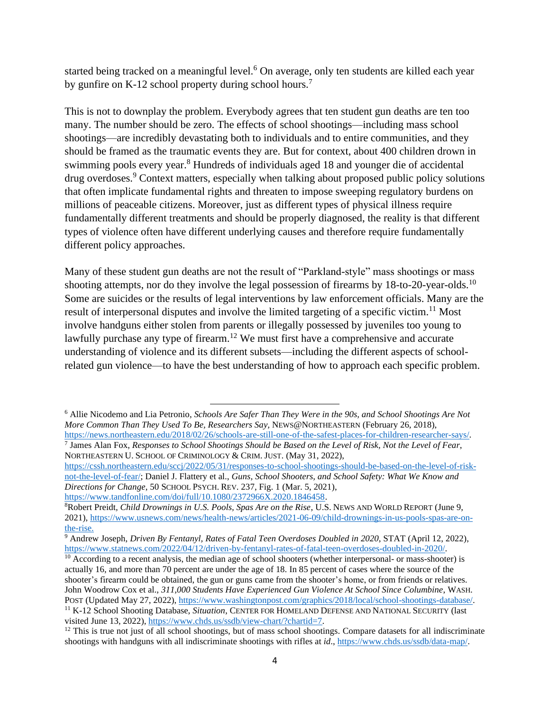started being tracked on a meaningful level.<sup>6</sup> On average, only ten students are killed each year by gunfire on K-12 school property during school hours.<sup>7</sup>

This is not to downplay the problem. Everybody agrees that ten student gun deaths are ten too many. The number should be zero. The effects of school shootings—including mass school shootings—are incredibly devastating both to individuals and to entire communities, and they should be framed as the traumatic events they are. But for context, about 400 children drown in swimming pools every year.<sup>8</sup> Hundreds of individuals aged 18 and younger die of accidental drug overdoses.<sup>9</sup> Context matters, especially when talking about proposed public policy solutions that often implicate fundamental rights and threaten to impose sweeping regulatory burdens on millions of peaceable citizens. Moreover, just as different types of physical illness require fundamentally different treatments and should be properly diagnosed, the reality is that different types of violence often have different underlying causes and therefore require fundamentally different policy approaches.

Many of these student gun deaths are not the result of "Parkland-style" mass shootings or mass shooting attempts, nor do they involve the legal possession of firearms by 18-to-20-year-olds.<sup>10</sup> Some are suicides or the results of legal interventions by law enforcement officials. Many are the result of interpersonal disputes and involve the limited targeting of a specific victim.<sup>11</sup> Most involve handguns either stolen from parents or illegally possessed by juveniles too young to lawfully purchase any type of firearm.<sup>12</sup> We must first have a comprehensive and accurate understanding of violence and its different subsets—including the different aspects of schoolrelated gun violence—to have the best understanding of how to approach each specific problem.

<sup>6</sup> Allie Nicodemo and Lia Petronio, *Schools Are Safer Than They Were in the 90s, and School Shootings Are Not More Common Than They Used To Be, Researchers Say,* NEWS@NORTHEASTERN (February 26, 2018), [https://news.northeastern.edu/2018/02/26/schools-are-still-one-of-the-safest-places-for-children-researcher-says/.](https://news.northeastern.edu/2018/02/26/schools-are-still-one-of-the-safest-places-for-children-researcher-says/)

<sup>7</sup> James Alan Fox, *Responses to School Shootings Should be Based on the Level of Risk, Not the Level of Fear*, NORTHEASTERN U. SCHOOL OF CRIMINOLOGY & CRIM. JUST. (May 31, 2022),

[https://cssh.northeastern.edu/sccj/2022/05/31/responses-to-school-shootings-should-be-based-on-the-level-of-risk](https://cssh.northeastern.edu/sccj/2022/05/31/responses-to-school-shootings-should-be-based-on-the-level-of-risk-not-the-level-of-fear/)[not-the-level-of-fear/;](https://cssh.northeastern.edu/sccj/2022/05/31/responses-to-school-shootings-should-be-based-on-the-level-of-risk-not-the-level-of-fear/) Daniel J. Flattery et al., *Guns, School Shooters, and School Safety: What We Know and Directions for Change*, 50 SCHOOL PSYCH. REV. 237, Fig. 1 (Mar. 5, 2021), [https://www.tandfonline.com/doi/full/10.1080/2372966X.2020.1846458.](https://www.tandfonline.com/doi/full/10.1080/2372966X.2020.1846458)

<sup>8</sup>Robert Preidt*, Child Drownings in U.S. Pools, Spas Are on the Rise*, U.S. NEWS AND WORLD REPORT (June 9, 2021), [https://www.usnews.com/news/health-news/articles/2021-06-09/child-drownings-in-us-pools-spas-are-on](https://www.usnews.com/news/health-news/articles/2021-06-09/child-drownings-in-us-pools-spas-are-on-the-rise)[the-rise.](https://www.usnews.com/news/health-news/articles/2021-06-09/child-drownings-in-us-pools-spas-are-on-the-rise)

<sup>9</sup> Andrew Joseph, *Driven By Fentanyl, Rates of Fatal Teen Overdoses Doubled in 2020*, STAT (April 12, 2022), [https://www.statnews.com/2022/04/12/driven-by-fentanyl-rates-of-fatal-teen-overdoses-doubled-in-2020/.](https://www.statnews.com/2022/04/12/driven-by-fentanyl-rates-of-fatal-teen-overdoses-doubled-in-2020/)

 $\frac{10}{10}$  According to a recent analysis, the median age of school shooters (whether interpersonal- or mass-shooter) is actually 16, and more than 70 percent are under the age of 18. In 85 percent of cases where the source of the shooter's firearm could be obtained, the gun or guns came from the shooter's home, or from friends or relatives. John Woodrow Cox et al., *311,000 Students Have Experienced Gun Violence At School Since Columbine*, WASH. POST (Updated May 27, 2022), [https://www.washingtonpost.com/graphics/2018/local/school-shootings-database/.](https://www.washingtonpost.com/graphics/2018/local/school-shootings-database/) <sup>11</sup> K-12 School Shooting Database, *Situation*, CENTER FOR HOMELAND DEFENSE AND NATIONAL SECURITY (last visited June 13, 2022), [https://www.chds.us/ssdb/view-chart/?chartid=7.](https://www.chds.us/ssdb/view-chart/?chartid=7)

 $12$  This is true not just of all school shootings, but of mass school shootings. Compare datasets for all indiscriminate shootings with handguns with all indiscriminate shootings with rifles at *id*.[, https://www.chds.us/ssdb/data-map/.](https://www.chds.us/ssdb/data-map/)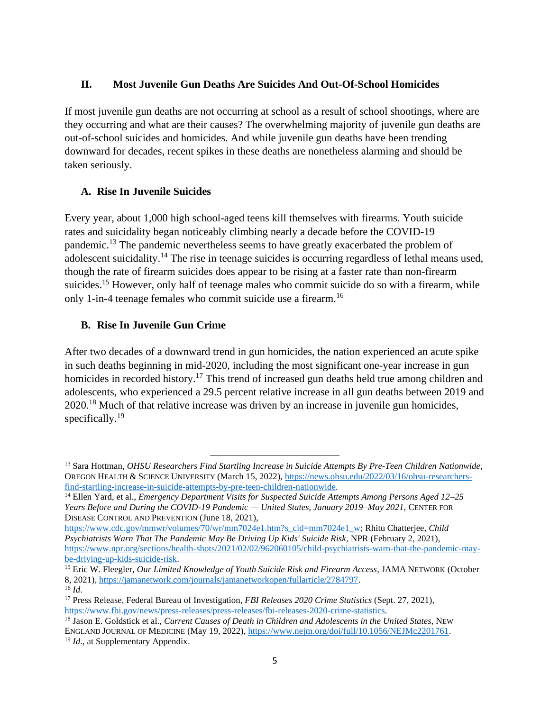## **II. Most Juvenile Gun Deaths Are Suicides And Out-Of-School Homicides**

If most juvenile gun deaths are not occurring at school as a result of school shootings, where are they occurring and what are their causes? The overwhelming majority of juvenile gun deaths are out-of-school suicides and homicides. And while juvenile gun deaths have been trending downward for decades, recent spikes in these deaths are nonetheless alarming and should be taken seriously.

## **A. Rise In Juvenile Suicides**

Every year, about 1,000 high school-aged teens kill themselves with firearms. Youth suicide rates and suicidality began noticeably climbing nearly a decade before the COVID-19 pandemic.<sup>13</sup> The pandemic nevertheless seems to have greatly exacerbated the problem of adolescent suicidality.<sup>14</sup> The rise in teenage suicides is occurring regardless of lethal means used, though the rate of firearm suicides does appear to be rising at a faster rate than non-firearm suicides.<sup>15</sup> However, only half of teenage males who commit suicide do so with a firearm, while only 1-in-4 teenage females who commit suicide use a firearm.<sup>16</sup>

## **B. Rise In Juvenile Gun Crime**

After two decades of a downward trend in gun homicides, the nation experienced an acute spike in such deaths beginning in mid-2020, including the most significant one-year increase in gun homicides in recorded history.<sup>17</sup> This trend of increased gun deaths held true among children and adolescents, who experienced a 29.5 percent relative increase in all gun deaths between 2019 and 2020.<sup>18</sup> Much of that relative increase was driven by an increase in juvenile gun homicides, specifically.<sup>19</sup>

<sup>13</sup> Sara Hottman, *OHSU Researchers Find Startling Increase in Suicide Attempts By Pre-Teen Children Nationwide*, OREGON HEALTH & SCIENCE UNIVERSITY (March 15, 2022), [https://news.ohsu.edu/2022/03/16/ohsu-researchers](https://news.ohsu.edu/2022/03/16/ohsu-researchers-find-startling-increase-in-suicide-attempts-by-pre-teen-children-nationwide)[find-startling-increase-in-suicide-attempts-by-pre-teen-children-nationwide.](https://news.ohsu.edu/2022/03/16/ohsu-researchers-find-startling-increase-in-suicide-attempts-by-pre-teen-children-nationwide)

<sup>14</sup> Ellen Yard, et al., *Emergency Department Visits for Suspected Suicide Attempts Among Persons Aged 12–25 Years Before and During the COVID-19 Pandemic — United States, January 2019–May 2021*, CENTER FOR DISEASE CONTROL AND PREVENTION (June 18, 2021),

[https://www.cdc.gov/mmwr/volumes/70/wr/mm7024e1.htm?s\\_cid=mm7024e1\\_w;](https://www.cdc.gov/mmwr/volumes/70/wr/mm7024e1.htm?s_cid=mm7024e1_w) Rhitu Chatterjee*, Child Psychiatrists Warn That The Pandemic May Be Driving Up Kids' Suicide Risk*, NPR (February 2, 2021), [https://www.npr.org/sections/health-shots/2021/02/02/962060105/child-psychiatrists-warn-that-the-pandemic-may](https://www.npr.org/sections/health-shots/2021/02/02/962060105/child-psychiatrists-warn-that-the-pandemic-may-be-driving-up-kids-suicide-risk)[be-driving-up-kids-suicide-risk.](https://www.npr.org/sections/health-shots/2021/02/02/962060105/child-psychiatrists-warn-that-the-pandemic-may-be-driving-up-kids-suicide-risk)

<sup>15</sup> Eric W. Fleegler, *Our Limited Knowledge of Youth Suicide Risk and Firearm Access*, JAMA NETWORK (October 8, 2021), [https://jamanetwork.com/journals/jamanetworkopen/fullarticle/2784797.](https://jamanetwork.com/journals/jamanetworkopen/fullarticle/2784797) <sup>16</sup> *Id*.

<sup>17</sup> Press Release, Federal Bureau of Investigation, *FBI Releases 2020 Crime Statistics* (Sept. 27, 2021), [https://www.fbi.gov/news/press-releases/press-releases/fbi-releases-2020-crime-statistics.](https://www.fbi.gov/news/press-releases/press-releases/fbi-releases-2020-crime-statistics)

<sup>18</sup> Jason E. Goldstick et al., *Current Causes of Death in Children and Adolescents in the United States*, NEW ENGLAND JOURNAL OF MEDICINE (May 19, 2022), [https://www.nejm.org/doi/full/10.1056/NEJMc2201761.](https://www.nejm.org/doi/full/10.1056/NEJMc2201761) <sup>19</sup> *Id.*, at Supplementary Appendix.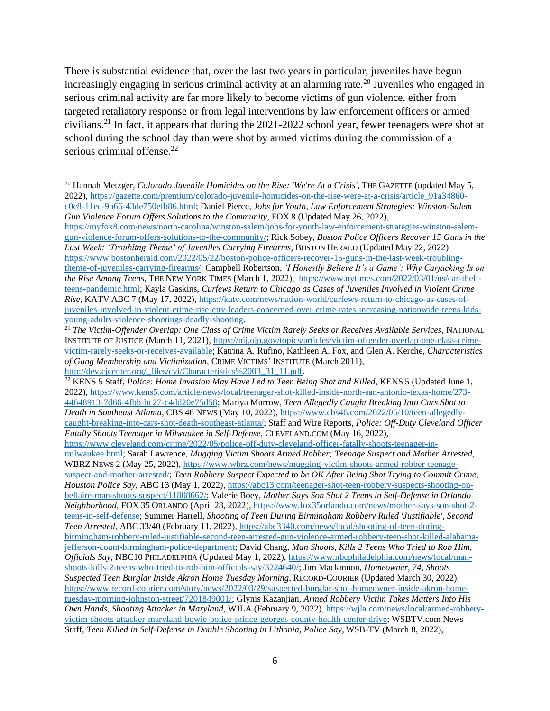There is substantial evidence that, over the last two years in particular, juveniles have begun increasingly engaging in serious criminal activity at an alarming rate.<sup>20</sup> Juveniles who engaged in serious criminal activity are far more likely to become victims of gun violence, either from targeted retaliatory response or from legal interventions by law enforcement officers or armed civilians.<sup>21</sup> In fact, it appears that during the 2021-2022 school year, fewer teenagers were shot at school during the school day than were shot by armed victims during the commission of a serious criminal offense.<sup>22</sup>

[gun-violence-forum-offers-solutions-to-the-community/;](https://myfox8.com/news/north-carolina/winston-salem/jobs-for-youth-law-enforcement-strategies-winston-salem-gun-violence-forum-offers-solutions-to-the-community/) Rick Sobey, *Boston Police Officers Recover 15 Guns in the Last Week: 'Troubling Theme' of Juveniles Carrying Firearms*, BOSTON HERALD (Updated May 22, 2022) [https://www.bostonherald.com/2022/05/22/boston-police-officers-recover-15-guns-in-the-last-week-troubling](https://www.bostonherald.com/2022/05/22/boston-police-officers-recover-15-guns-in-the-last-week-troubling-theme-of-juveniles-carrying-firearms/)[theme-of-juveniles-carrying-firearms/;](https://www.bostonherald.com/2022/05/22/boston-police-officers-recover-15-guns-in-the-last-week-troubling-theme-of-juveniles-carrying-firearms/) Campbell Robertson, *'I Honestly Believe It's a Game': Why Carjacking Is on the Rise Among Teens*, THE NEW YORK TIMES (March 1, 2022), [https://www.nytimes.com/2022/03/01/us/car-theft](https://www.nytimes.com/2022/03/01/us/car-theft-teens-pandemic.html)[teens-pandemic.html;](https://www.nytimes.com/2022/03/01/us/car-theft-teens-pandemic.html) Kayla Gaskins, *Curfews Return to Chicago as Cases of Juveniles Involved in Violent Crime Rise*, KATV ABC 7 (May 17, 2022), [https://katv.com/news/nation-world/curfews-return-to-chicago-as-cases-of](https://katv.com/news/nation-world/curfews-return-to-chicago-as-cases-of-juveniles-involved-in-violent-crime-rise-city-leaders-concerned-over-crime-rates-increasing-nationwide-teens-kids-young-adults-violence-shootings-deadly-shooting)[juveniles-involved-in-violent-crime-rise-city-leaders-concerned-over-crime-rates-increasing-nationwide-teens-kids](https://katv.com/news/nation-world/curfews-return-to-chicago-as-cases-of-juveniles-involved-in-violent-crime-rise-city-leaders-concerned-over-crime-rates-increasing-nationwide-teens-kids-young-adults-violence-shootings-deadly-shooting)[young-adults-violence-shootings-deadly-shooting.](https://katv.com/news/nation-world/curfews-return-to-chicago-as-cases-of-juveniles-involved-in-violent-crime-rise-city-leaders-concerned-over-crime-rates-increasing-nationwide-teens-kids-young-adults-violence-shootings-deadly-shooting)

<sup>22</sup> KENS 5 Staff, *Police: Home Invasion May Have Led to Teen Being Shot and Killed*, KENS 5 (Updated June 1, 2022), [https://www.kens5.com/article/news/local/teenager-shot-killed-inside-north-san-antonio-texas-home/273-](https://www.kens5.com/article/news/local/teenager-shot-killed-inside-north-san-antonio-texas-home/273-44648913-7d66-4fbb-bc27-c4dd20e75d58) [44648913-7d66-4fbb-bc27-c4dd20e75d58;](https://www.kens5.com/article/news/local/teenager-shot-killed-inside-north-san-antonio-texas-home/273-44648913-7d66-4fbb-bc27-c4dd20e75d58) Mariya Murrow, *Teen Allegedly Caught Breaking Into Cars Shot to Death in Southeast Atlanta*, CBS 46 NEWS (May 10, 2022), [https://www.cbs46.com/2022/05/10/teen-allegedly](https://www.cbs46.com/2022/05/10/teen-allegedly-caught-breaking-into-cars-shot-death-southeast-atlanta/)[caught-breaking-into-cars-shot-death-southeast-atlanta/;](https://www.cbs46.com/2022/05/10/teen-allegedly-caught-breaking-into-cars-shot-death-southeast-atlanta/) Staff and Wire Reports, *Police: Off-Duty Cleveland Officer Fatally Shoots Teenager in Milwaukee in Self-Defense*, CLEVELAND.COM (May 16, 2022),

[https://www.cleveland.com/crime/2022/05/police-off-duty-cleveland-officer-fatally-shoots-teenager-in](https://www.cleveland.com/crime/2022/05/police-off-duty-cleveland-officer-fatally-shoots-teenager-in-milwaukee.html)[milwaukee.html;](https://www.cleveland.com/crime/2022/05/police-off-duty-cleveland-officer-fatally-shoots-teenager-in-milwaukee.html) Sarah Lawrence, *Mugging Victim Shoots Armed Robber; Teenage Suspect and Mother Arrested*, WBRZ NEWS 2 (May 25, 2022), [https://www.wbrz.com/news/mugging-victim-shoots-armed-robber-teenage](https://www.wbrz.com/news/mugging-victim-shoots-armed-robber-teenage-suspect-and-mother-arrested/)[suspect-and-mother-arrested/;](https://www.wbrz.com/news/mugging-victim-shoots-armed-robber-teenage-suspect-and-mother-arrested/) *Teen Robbery Suspect Expected to be OK After Being Shot Trying to Commit Crime, Houston Police Say*, ABC 13 (May 1, 2022)[, https://abc13.com/teenager-shot-teen-robbery-suspects-shooting-on](https://abc13.com/teenager-shot-teen-robbery-suspects-shooting-on-bellaire-man-shoots-suspect/11808662/)[bellaire-man-shoots-suspect/11808662/;](https://abc13.com/teenager-shot-teen-robbery-suspects-shooting-on-bellaire-man-shoots-suspect/11808662/) Valerie Boey, *Mother Says Son Shot 2 Teens in Self-Defense in Orlando Neighborhood*, FOX 35 ORLANDO (April 28, 2022), [https://www.fox35orlando.com/news/mother-says-son-shot-2](https://www.fox35orlando.com/news/mother-says-son-shot-2-teens-in-self-defense) [teens-in-self-defense;](https://www.fox35orlando.com/news/mother-says-son-shot-2-teens-in-self-defense) Summer Harrell, *Shooting of Teen During Birmingham Robbery Ruled 'Justifiable', Second Teen Arrested*, ABC 33/40 (February 11, 2022), [https://abc3340.com/news/local/shooting-of-teen-during](https://abc3340.com/news/local/shooting-of-teen-during-birmingham-robbery-ruled-justifiable-second-teen-arrested-gun-violence-armed-robbery-teen-shot-killed-alabama-jefferson-count-birmingham-police-department)[birmingham-robbery-ruled-justifiable-second-teen-arrested-gun-violence-armed-robbery-teen-shot-killed-alabama](https://abc3340.com/news/local/shooting-of-teen-during-birmingham-robbery-ruled-justifiable-second-teen-arrested-gun-violence-armed-robbery-teen-shot-killed-alabama-jefferson-count-birmingham-police-department)[jefferson-count-birmingham-police-department;](https://abc3340.com/news/local/shooting-of-teen-during-birmingham-robbery-ruled-justifiable-second-teen-arrested-gun-violence-armed-robbery-teen-shot-killed-alabama-jefferson-count-birmingham-police-department) David Chang, *Man Shoots, Kills 2 Teens Who Tried to Rob Him, Officials Say*, NBC10 PHILADELPHIA (Updated May 1, 2022), [https://www.nbcphiladelphia.com/news/local/man](https://www.nbcphiladelphia.com/news/local/man-shoots-kills-2-teens-who-tried-to-rob-him-officials-say/3224640/)[shoots-kills-2-teens-who-tried-to-rob-him-officials-say/3224640/;](https://www.nbcphiladelphia.com/news/local/man-shoots-kills-2-teens-who-tried-to-rob-him-officials-say/3224640/) Jim Mackinnon, *Homeowner, 74, Shoots Suspected Teen Burglar Inside Akron Home Tuesday Morning*, RECORD-COURIER (Updated March 30, 2022), [https://www.record-courier.com/story/news/2022/03/29/suspected-burglar-shot-homeowner-inside-akron-home](https://www.record-courier.com/story/news/2022/03/29/suspected-burglar-shot-homeowner-inside-akron-home-tuesday-morning-johnston-street/7201849001/)[tuesday-morning-johnston-street/7201849001/;](https://www.record-courier.com/story/news/2022/03/29/suspected-burglar-shot-homeowner-inside-akron-home-tuesday-morning-johnston-street/7201849001/) Glynis Kazanjian, *Armed Robbery Victim Takes Matters Into His Own Hands, Shooting Attacker in Maryland*, WJLA (February 9, 2022), [https://wjla.com/news/local/armed-robbery](https://wjla.com/news/local/armed-robbery-victim-shoots-attacker-maryland-bowie-police-prince-georges-county-health-center-drive)[victim-shoots-attacker-maryland-bowie-police-prince-georges-county-health-center-drive;](https://wjla.com/news/local/armed-robbery-victim-shoots-attacker-maryland-bowie-police-prince-georges-county-health-center-drive) WSBTV.com News Staff, *Teen Killed in Self-Defense in Double Shooting in Lithonia, Police Say*, WSB-TV (March 8, 2022),

<sup>&</sup>lt;sup>20</sup> Hannah Metzger, *Colorado Juvenile Homicides on the Rise: 'We're At a Crisis'*, THE GAZETTE (updated May 5, 2022), [https://gazette.com/premium/colorado-juvenile-homicides-on-the-rise-were-at-a-crisis/article\\_91a34860](https://gazette.com/premium/colorado-juvenile-homicides-on-the-rise-were-at-a-crisis/article_91a34860-c0c8-11ec-9b66-43de750efb86.html) [c0c8-11ec-9b66-43de750efb86.html;](https://gazette.com/premium/colorado-juvenile-homicides-on-the-rise-were-at-a-crisis/article_91a34860-c0c8-11ec-9b66-43de750efb86.html) Daniel Pierce, *Jobs for Youth, Law Enforcement Strategies: Winston-Salem Gun Violence Forum Offers Solutions to the Community*, FOX 8 (Updated May 26, 2022), [https://myfox8.com/news/north-carolina/winston-salem/jobs-for-youth-law-enforcement-strategies-winston-salem-](https://myfox8.com/news/north-carolina/winston-salem/jobs-for-youth-law-enforcement-strategies-winston-salem-gun-violence-forum-offers-solutions-to-the-community/)

<sup>21</sup> *The Victim-Offender Overlap: One Class of Crime Victim Rarely Seeks or Receives Available Services,* NATIONAL INSTITUTE OF JUSTICE (March 11, 2021), [https://nij.ojp.gov/topics/articles/victim-offender-overlap-one-class-crime](https://nij.ojp.gov/topics/articles/victim-offender-overlap-one-class-crime-victim-rarely-seeks-or-receives-available)[victim-rarely-seeks-or-receives-available;](https://nij.ojp.gov/topics/articles/victim-offender-overlap-one-class-crime-victim-rarely-seeks-or-receives-available) Katrina A. Rufino, Kathleen A. Fox, and Glen A. Kerche, *Characteristics of Gang Membership and Victimization*, CRIME VICTIMS' INSTITUTE (March 2011), [http://dev.cjcenter.org/\\_files/cvi/Characteristics%2003\\_31\\_11.pdf.](http://dev.cjcenter.org/_files/cvi/Characteristics%2003_31_11.pdf)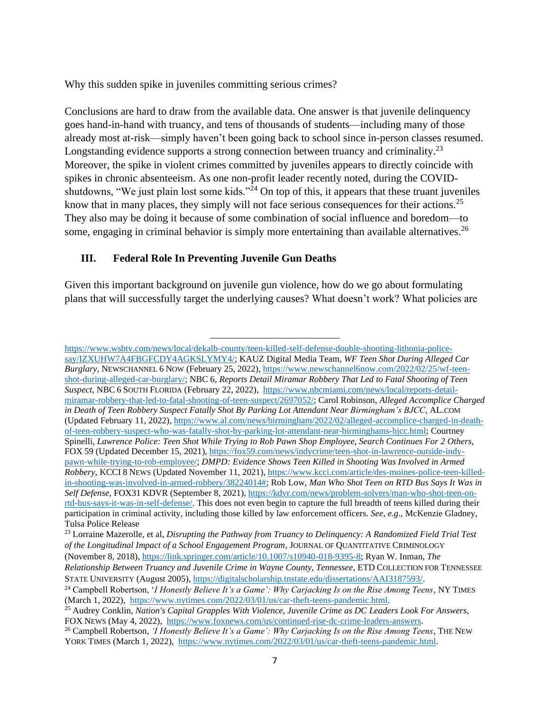Why this sudden spike in juveniles committing serious crimes?

Conclusions are hard to draw from the available data. One answer is that juvenile delinquency goes hand-in-hand with truancy, and tens of thousands of students—including many of those already most at-risk—simply haven't been going back to school since in-person classes resumed. Longstanding evidence supports a strong connection between truancy and criminality.<sup>23</sup> Moreover, the spike in violent crimes committed by juveniles appears to directly coincide with spikes in chronic absenteeism. As one non-profit leader recently noted, during the COVIDshutdowns, "We just plain lost some kids."<sup>24</sup> On top of this, it appears that these truant juveniles know that in many places, they simply will not face serious consequences for their actions.<sup>25</sup> They also may be doing it because of some combination of social influence and boredom—to some, engaging in criminal behavior is simply more entertaining than available alternatives.<sup>26</sup>

#### **III. Federal Role In Preventing Juvenile Gun Deaths**

Given this important background on juvenile gun violence, how do we go about formulating plans that will successfully target the underlying causes? What doesn't work? What policies are

[https://www.wsbtv.com/news/local/dekalb-county/teen-killed-self-defense-double-shooting-lithonia-police](https://www.wsbtv.com/news/local/dekalb-county/teen-killed-self-defense-double-shooting-lithonia-police-say/IZXUHW7A4FBGFCDY4AGKSLYMY4/)[say/IZXUHW7A4FBGFCDY4AGKSLYMY4/;](https://www.wsbtv.com/news/local/dekalb-county/teen-killed-self-defense-double-shooting-lithonia-police-say/IZXUHW7A4FBGFCDY4AGKSLYMY4/) KAUZ Digital Media Team, *WF Teen Shot During Alleged Car Burglary*, NEWSCHANNEL 6 NOW (February 25, 2022)[, https://www.newschannel6now.com/2022/02/25/wf-teen](https://www.newschannel6now.com/2022/02/25/wf-teen-shot-during-alleged-car-burglary/)[shot-during-alleged-car-burglary/;](https://www.newschannel6now.com/2022/02/25/wf-teen-shot-during-alleged-car-burglary/) NBC 6, *Reports Detail Miramar Robbery That Led to Fatal Shooting of Teen Suspect*, NBC 6 SOUTH FLORIDA (February 22, 2022), [https://www.nbcmiami.com/news/local/reports-detail](https://www.nbcmiami.com/news/local/reports-detail-miramar-robbery-that-led-to-fatal-shooting-of-teen-suspect/2697052/)[miramar-robbery-that-led-to-fatal-shooting-of-teen-suspect/2697052/;](https://www.nbcmiami.com/news/local/reports-detail-miramar-robbery-that-led-to-fatal-shooting-of-teen-suspect/2697052/) Carol Robinson, *Alleged Accomplice Charged in Death of Teen Robbery Suspect Fatally Shot By Parking Lot Attendant Near Birmingham's BJCC*, AL.COM (Updated February 11, 2022), [https://www.al.com/news/birmingham/2022/02/alleged-accomplice-charged-in-death](https://www.al.com/news/birmingham/2022/02/alleged-accomplice-charged-in-death-of-teen-robbery-suspect-who-was-fatally-shot-by-parking-lot-attendant-near-birminghams-bjcc.html)[of-teen-robbery-suspect-who-was-fatally-shot-by-parking-lot-attendant-near-birminghams-bjcc.html;](https://www.al.com/news/birmingham/2022/02/alleged-accomplice-charged-in-death-of-teen-robbery-suspect-who-was-fatally-shot-by-parking-lot-attendant-near-birminghams-bjcc.html) Courtney Spinelli, *Lawrence Police: Teen Shot While Trying to Rob Pawn Shop Employee, Search Continues For 2 Others*, FOX 59 (Updated December 15, 2021), [https://fox59.com/news/indycrime/teen-shot-in-lawrence-outside-indy](https://fox59.com/news/indycrime/teen-shot-in-lawrence-outside-indy-pawn-while-trying-to-rob-employee/)[pawn-while-trying-to-rob-employee/;](https://fox59.com/news/indycrime/teen-shot-in-lawrence-outside-indy-pawn-while-trying-to-rob-employee/) *DMPD: Evidence Shows Teen Killed in Shooting Was Involved in Armed Robbery*, KCCI 8 NEWS (Updated November 11, 2021), [https://www.kcci.com/article/des-moines-police-teen-killed](https://www.kcci.com/article/des-moines-police-teen-killed-in-shooting-was-involved-in-armed-robbery/38224014)[in-shooting-was-involved-in-armed-robbery/38224014#;](https://www.kcci.com/article/des-moines-police-teen-killed-in-shooting-was-involved-in-armed-robbery/38224014) Rob Low, *Man Who Shot Teen on RTD Bus Says It Was in Self Defense*, FOX31 KDVR (September 8, 2021), [https://kdvr.com/news/problem-solvers/man-who-shot-teen-on](https://kdvr.com/news/problem-solvers/man-who-shot-teen-on-rtd-bus-says-it-was-in-self-defense/)[rtd-bus-says-it-was-in-self-defense/.](https://kdvr.com/news/problem-solvers/man-who-shot-teen-on-rtd-bus-says-it-was-in-self-defense/) This does not even begin to capture the full breadth of teens killed during their participation in criminal activity, including those killed by law enforcement officers. *See, e.g*., McKenzie Gladney, Tulsa Police Release

<sup>23</sup> Lorraine Mazerolle, et al, *Disrupting the Pathway from Truancy to Delinquency: A Randomized Field Trial Test of the Longitudinal Impact of a School Engagement Program*, JOURNAL OF QUANTITATIVE CRIMINOLOGY (November 8, 2018), [https://link.springer.com/article/10.1007/s10940-018-9395-8;](https://link.springer.com/article/10.1007/s10940-018-9395-8) Ryan W. Inman, *The Relationship Between Truancy and Juvenile Crime in Wayne County, Tennessee*, ETD COLLECTION FOR TENNESSEE STATE UNIVERSITY (August 2005), [https://digitalscholarship.tnstate.edu/dissertations/AAI3187593/.](https://digitalscholarship.tnstate.edu/dissertations/AAI3187593/)

<sup>24</sup> Campbell Robertson, '*I Honestly Believe It's a Game': Why Carjacking Is on the Rise Among Teens*, NY TIMES (March 1, 2022), [https://www.nytimes.com/2022/03/01/us/car-theft-teens-pandemic.html.](https://www.nytimes.com/2022/03/01/us/car-theft-teens-pandemic.html)

<sup>25</sup> Audrey Conklin, *Nation's Capital Grapples With Violence, Juvenile Crime as DC Leaders Look For Answers,* FOX NEWS (May 4, 2022), [https://www.foxnews.com/us/continued-rise-dc-crime-leaders-answers.](https://www.foxnews.com/us/continued-rise-dc-crime-leaders-answers)

<sup>26</sup> Campbell Robertson, *'I Honestly Believe It's a Game': Why Carjacking Is on the Rise Among Teens*, THE NEW YORK TIMES (March 1, 2022), [https://www.nytimes.com/2022/03/01/us/car-theft-teens-pandemic.html.](https://www.nytimes.com/2022/03/01/us/car-theft-teens-pandemic.html)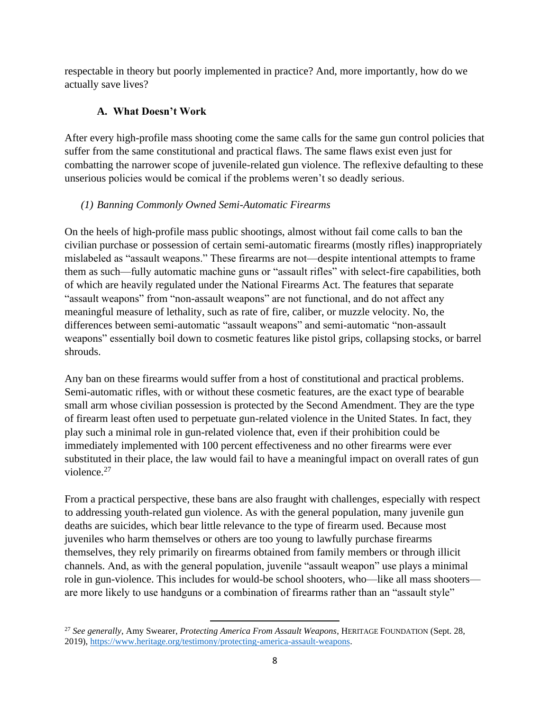respectable in theory but poorly implemented in practice? And, more importantly, how do we actually save lives?

# **A. What Doesn't Work**

After every high-profile mass shooting come the same calls for the same gun control policies that suffer from the same constitutional and practical flaws. The same flaws exist even just for combatting the narrower scope of juvenile-related gun violence. The reflexive defaulting to these unserious policies would be comical if the problems weren't so deadly serious.

# *(1) Banning Commonly Owned Semi-Automatic Firearms*

On the heels of high-profile mass public shootings, almost without fail come calls to ban the civilian purchase or possession of certain semi-automatic firearms (mostly rifles) inappropriately mislabeled as "assault weapons." These firearms are not—despite intentional attempts to frame them as such—fully automatic machine guns or "assault rifles" with select-fire capabilities, both of which are heavily regulated under the National Firearms Act. The features that separate "assault weapons" from "non-assault weapons" are not functional, and do not affect any meaningful measure of lethality, such as rate of fire, caliber, or muzzle velocity. No, the differences between semi-automatic "assault weapons" and semi-automatic "non-assault weapons" essentially boil down to cosmetic features like pistol grips, collapsing stocks, or barrel shrouds.

Any ban on these firearms would suffer from a host of constitutional and practical problems. Semi-automatic rifles, with or without these cosmetic features, are the exact type of bearable small arm whose civilian possession is protected by the Second Amendment. They are the type of firearm least often used to perpetuate gun-related violence in the United States. In fact, they play such a minimal role in gun-related violence that, even if their prohibition could be immediately implemented with 100 percent effectiveness and no other firearms were ever substituted in their place, the law would fail to have a meaningful impact on overall rates of gun violence.<sup>27</sup>

From a practical perspective, these bans are also fraught with challenges, especially with respect to addressing youth-related gun violence. As with the general population, many juvenile gun deaths are suicides, which bear little relevance to the type of firearm used. Because most juveniles who harm themselves or others are too young to lawfully purchase firearms themselves, they rely primarily on firearms obtained from family members or through illicit channels. And, as with the general population, juvenile "assault weapon" use plays a minimal role in gun-violence. This includes for would-be school shooters, who—like all mass shooters are more likely to use handguns or a combination of firearms rather than an "assault style"

<sup>27</sup> *See generally*, Amy Swearer, *Protecting America From Assault Weapons*, HERITAGE FOUNDATION (Sept. 28, 2019), [https://www.heritage.org/testimony/protecting-america-assault-weapons.](https://www.heritage.org/testimony/protecting-america-assault-weapons)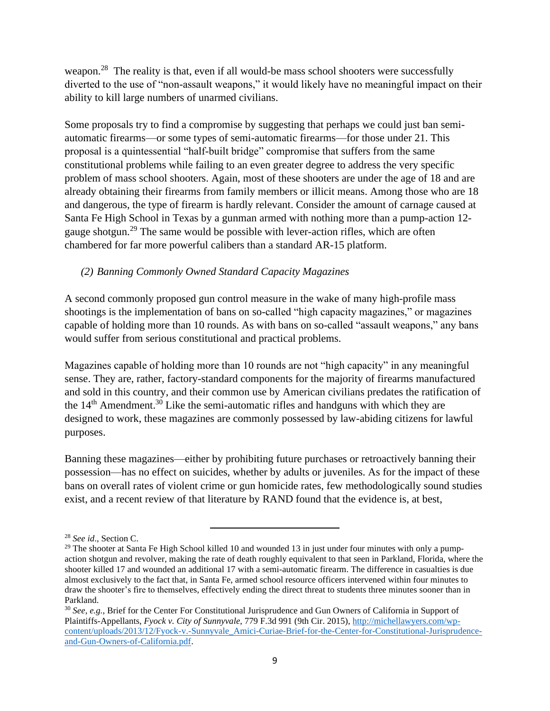weapon.<sup>28</sup> The reality is that, even if all would-be mass school shooters were successfully diverted to the use of "non-assault weapons," it would likely have no meaningful impact on their ability to kill large numbers of unarmed civilians.

Some proposals try to find a compromise by suggesting that perhaps we could just ban semiautomatic firearms—or some types of semi-automatic firearms—for those under 21. This proposal is a quintessential "half-built bridge" compromise that suffers from the same constitutional problems while failing to an even greater degree to address the very specific problem of mass school shooters. Again, most of these shooters are under the age of 18 and are already obtaining their firearms from family members or illicit means. Among those who are 18 and dangerous, the type of firearm is hardly relevant. Consider the amount of carnage caused at Santa Fe High School in Texas by a gunman armed with nothing more than a pump-action 12 gauge shotgun.<sup>29</sup> The same would be possible with lever-action rifles, which are often chambered for far more powerful calibers than a standard AR-15 platform.

#### *(2) Banning Commonly Owned Standard Capacity Magazines*

A second commonly proposed gun control measure in the wake of many high-profile mass shootings is the implementation of bans on so-called "high capacity magazines," or magazines capable of holding more than 10 rounds. As with bans on so-called "assault weapons," any bans would suffer from serious constitutional and practical problems.

Magazines capable of holding more than 10 rounds are not "high capacity" in any meaningful sense. They are, rather, factory-standard components for the majority of firearms manufactured and sold in this country, and their common use by American civilians predates the ratification of the  $14<sup>th</sup>$  Amendment.<sup>30</sup> Like the semi-automatic rifles and handguns with which they are designed to work, these magazines are commonly possessed by law-abiding citizens for lawful purposes.

Banning these magazines—either by prohibiting future purchases or retroactively banning their possession—has no effect on suicides, whether by adults or juveniles. As for the impact of these bans on overall rates of violent crime or gun homicide rates, few methodologically sound studies exist, and a recent review of that literature by RAND found that the evidence is, at best,

<sup>28</sup> *See id*., Section C.

 $29$  The shooter at Santa Fe High School killed 10 and wounded 13 in just under four minutes with only a pumpaction shotgun and revolver, making the rate of death roughly equivalent to that seen in Parkland, Florida, where the shooter killed 17 and wounded an additional 17 with a semi-automatic firearm. The difference in casualties is due almost exclusively to the fact that, in Santa Fe, armed school resource officers intervened within four minutes to draw the shooter's fire to themselves, effectively ending the direct threat to students three minutes sooner than in Parkland.

<sup>30</sup> *See, e.g.*, Brief for the Center For Constitutional Jurisprudence and Gun Owners of California in Support of Plaintiffs-Appellants, *Fyock v. City of Sunnyvale*, 779 F.3d 991 (9th Cir. 2015)[, http://michellawyers.com/wp](http://michellawyers.com/wp-content/uploads/2013/12/Fyock-v.-Sunnyvale_Amici-Curiae-Brief-for-the-Center-for-Constitutional-Jurisprudence-and-Gun-Owners-of-California.pdf)[content/uploads/2013/12/Fyock-v.-Sunnyvale\\_Amici-Curiae-Brief-for-the-Center-for-Constitutional-Jurisprudence](http://michellawyers.com/wp-content/uploads/2013/12/Fyock-v.-Sunnyvale_Amici-Curiae-Brief-for-the-Center-for-Constitutional-Jurisprudence-and-Gun-Owners-of-California.pdf)[and-Gun-Owners-of-California.pdf.](http://michellawyers.com/wp-content/uploads/2013/12/Fyock-v.-Sunnyvale_Amici-Curiae-Brief-for-the-Center-for-Constitutional-Jurisprudence-and-Gun-Owners-of-California.pdf)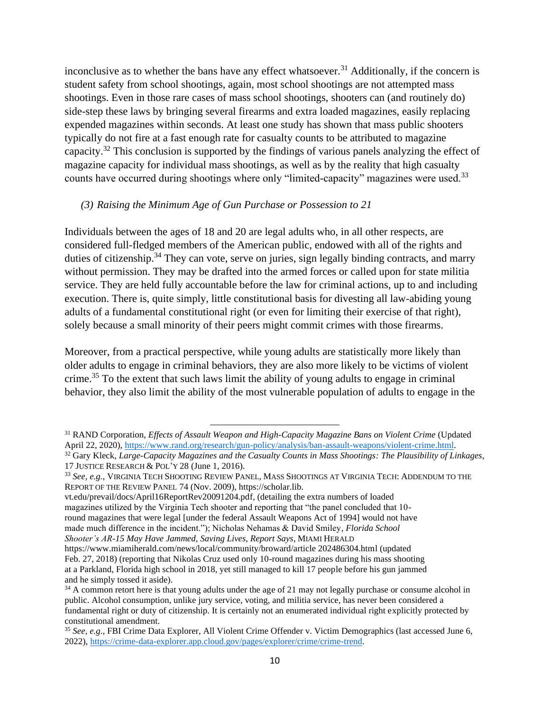inconclusive as to whether the bans have any effect whatsoever.<sup>31</sup> Additionally, if the concern is student safety from school shootings, again, most school shootings are not attempted mass shootings. Even in those rare cases of mass school shootings, shooters can (and routinely do) side-step these laws by bringing several firearms and extra loaded magazines, easily replacing expended magazines within seconds. At least one study has shown that mass public shooters typically do not fire at a fast enough rate for casualty counts to be attributed to magazine capacity.<sup>32</sup> This conclusion is supported by the findings of various panels analyzing the effect of magazine capacity for individual mass shootings, as well as by the reality that high casualty counts have occurred during shootings where only "limited-capacity" magazines were used.<sup>33</sup>

#### *(3) Raising the Minimum Age of Gun Purchase or Possession to 21*

Individuals between the ages of 18 and 20 are legal adults who, in all other respects, are considered full-fledged members of the American public, endowed with all of the rights and duties of citizenship.<sup>34</sup> They can vote, serve on juries, sign legally binding contracts, and marry without permission. They may be drafted into the armed forces or called upon for state militia service. They are held fully accountable before the law for criminal actions, up to and including execution. There is, quite simply, little constitutional basis for divesting all law-abiding young adults of a fundamental constitutional right (or even for limiting their exercise of that right), solely because a small minority of their peers might commit crimes with those firearms.

Moreover, from a practical perspective, while young adults are statistically more likely than older adults to engage in criminal behaviors, they are also more likely to be victims of violent crime.<sup>35</sup> To the extent that such laws limit the ability of young adults to engage in criminal behavior, they also limit the ability of the most vulnerable population of adults to engage in the

vt.edu/prevail/docs/April16ReportRev20091204.pdf, (detailing the extra numbers of loaded magazines utilized by the Virginia Tech shooter and reporting that "the panel concluded that 10 round magazines that were legal [under the federal Assault Weapons Act of 1994] would not have made much difference in the incident."); Nicholas Nehamas & David Smiley*, Florida School*

*Shooter's AR-15 May Have Jammed, Saving Lives, Report Says*, MIAMI HERALD

<sup>31</sup> RAND Corporation, *Effects of Assault Weapon and High-Capacity Magazine Bans on Violent Crime* (Updated April 22, 2020), [https://www.rand.org/research/gun-policy/analysis/ban-assault-weapons/violent-crime.html.](https://www.rand.org/research/gun-policy/analysis/ban-assault-weapons/violent-crime.html)

<sup>32</sup> Gary Kleck, *Large-Capacity Magazines and the Casualty Counts in Mass Shootings: The Plausibility of Linkages*, 17 JUSTICE RESEARCH & POL'Y 28 (June 1, 2016).

<sup>33</sup> *See, e.g.*, VIRGINIA TECH SHOOTING REVIEW PANEL, MASS SHOOTINGS AT VIRGINIA TECH: ADDENDUM TO THE REPORT OF THE REVIEW PANEL 74 (Nov. 2009), https://scholar.lib.

https://www.miamiherald.com/news/local/community/broward/article 202486304.html (updated Feb. 27, 2018) (reporting that Nikolas Cruz used only 10-round magazines during his mass shooting at a Parkland, Florida high school in 2018, yet still managed to kill 17 people before his gun jammed and he simply tossed it aside).

<sup>&</sup>lt;sup>34</sup> A common retort here is that young adults under the age of 21 may not legally purchase or consume alcohol in public. Alcohol consumption, unlike jury service, voting, and militia service, has never been considered a fundamental right or duty of citizenship. It is certainly not an enumerated individual right explicitly protected by constitutional amendment.

<sup>35</sup> *See, e.g*., FBI Crime Data Explorer, All Violent Crime Offender v. Victim Demographics (last accessed June 6, 2022), [https://crime-data-explorer.app.cloud.gov/pages/explorer/crime/crime-trend.](https://crime-data-explorer.app.cloud.gov/pages/explorer/crime/crime-trend)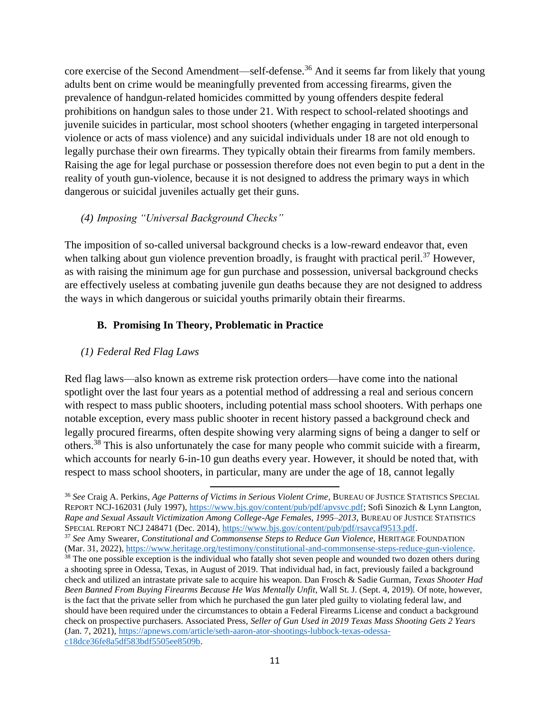core exercise of the Second Amendment—self-defense.<sup>36</sup> And it seems far from likely that young adults bent on crime would be meaningfully prevented from accessing firearms, given the prevalence of handgun-related homicides committed by young offenders despite federal prohibitions on handgun sales to those under 21. With respect to school-related shootings and juvenile suicides in particular, most school shooters (whether engaging in targeted interpersonal violence or acts of mass violence) and any suicidal individuals under 18 are not old enough to legally purchase their own firearms. They typically obtain their firearms from family members. Raising the age for legal purchase or possession therefore does not even begin to put a dent in the reality of youth gun-violence, because it is not designed to address the primary ways in which dangerous or suicidal juveniles actually get their guns.

## *(4) Imposing "Universal Background Checks"*

The imposition of so-called universal background checks is a low-reward endeavor that, even when talking about gun violence prevention broadly, is fraught with practical peril.<sup>37</sup> However, as with raising the minimum age for gun purchase and possession, universal background checks are effectively useless at combating juvenile gun deaths because they are not designed to address the ways in which dangerous or suicidal youths primarily obtain their firearms.

#### **B. Promising In Theory, Problematic in Practice**

#### *(1) Federal Red Flag Laws*

Red flag laws—also known as extreme risk protection orders—have come into the national spotlight over the last four years as a potential method of addressing a real and serious concern with respect to mass public shooters, including potential mass school shooters. With perhaps one notable exception, every mass public shooter in recent history passed a background check and legally procured firearms, often despite showing very alarming signs of being a danger to self or others.<sup>38</sup> This is also unfortunately the case for many people who commit suicide with a firearm, which accounts for nearly 6-in-10 gun deaths every year. However, it should be noted that, with respect to mass school shooters, in particular, many are under the age of 18, cannot legally

<sup>36</sup> *See* Craig A. Perkins, *Age Patterns of Victims in Serious Violent Crime*, BUREAU OF JUSTICE STATISTICS SPECIAL REPORT NCJ-162031 (July 1997), [https://www.bjs.gov/content/pub/pdf/apvsvc.pdf;](https://www.bjs.gov/content/pub/pdf/apvsvc.pdf) Sofi Sinozich & Lynn Langton, *Rape and Sexual Assault Victimization Among College-Age Females, 1995–2013*, BUREAU OF JUSTICE STATISTICS SPECIAL REPORT NCJ 248471 (Dec. 2014)[, https://www.bjs.gov/content/pub/pdf/rsavcaf9513.pdf.](https://www.bjs.gov/content/pub/pdf/rsavcaf9513.pdf) <sup>37</sup> *See* Amy Swearer, *Constitutional and Commonsense Steps to Reduce Gun Violence*, HERITAGE FOUNDATION (Mar. 31, 2022), [https://www.heritage.org/testimony/constitutional-and-commonsense-steps-reduce-gun-violence.](https://www.heritage.org/testimony/constitutional-and-commonsense-steps-reduce-gun-violence) <sup>38</sup> The one possible exception is the individual who fatally shot seven people and wounded two dozen others during a shooting spree in Odessa, Texas, in August of 2019. That individual had, in fact, previously failed a background check and utilized an intrastate private sale to acquire his weapon. Dan Frosch & Sadie Gurman, *Texas Shooter Had Been Banned From Buying Firearms Because He Was Mentally Unfit*, Wall St. J. (Sept. 4, 2019). Of note, however, is the fact that the private seller from which he purchased the gun later pled guilty to violating federal law, and should have been required under the circumstances to obtain a Federal Firearms License and conduct a background check on prospective purchasers. Associated Press, *Seller of Gun Used in 2019 Texas Mass Shooting Gets 2 Years* (Jan. 7, 2021), [https://apnews.com/article/seth-aaron-ator-shootings-lubbock-texas-odessa](https://apnews.com/article/seth-aaron-ator-shootings-lubbock-texas-odessa-c18dce36fe8a5df583bdf5505ee8509b)[c18dce36fe8a5df583bdf5505ee8509b.](https://apnews.com/article/seth-aaron-ator-shootings-lubbock-texas-odessa-c18dce36fe8a5df583bdf5505ee8509b)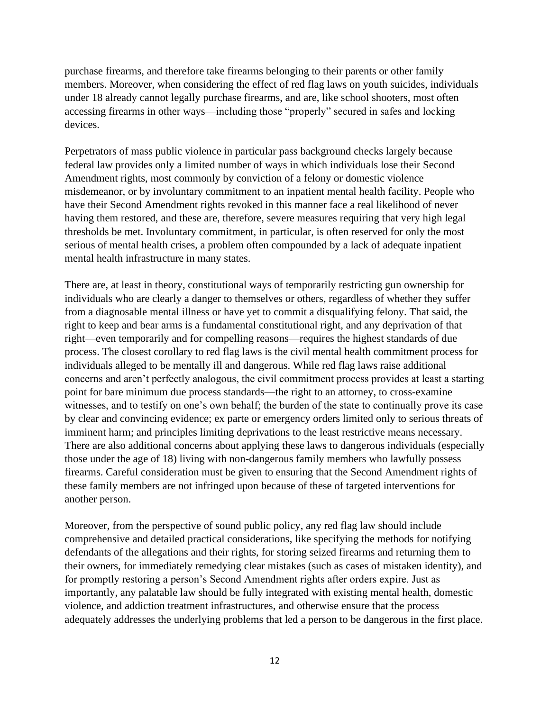purchase firearms, and therefore take firearms belonging to their parents or other family members. Moreover, when considering the effect of red flag laws on youth suicides, individuals under 18 already cannot legally purchase firearms, and are, like school shooters, most often accessing firearms in other ways—including those "properly" secured in safes and locking devices.

Perpetrators of mass public violence in particular pass background checks largely because federal law provides only a limited number of ways in which individuals lose their Second Amendment rights, most commonly by conviction of a felony or domestic violence misdemeanor, or by involuntary commitment to an inpatient mental health facility. People who have their Second Amendment rights revoked in this manner face a real likelihood of never having them restored, and these are, therefore, severe measures requiring that very high legal thresholds be met. Involuntary commitment, in particular, is often reserved for only the most serious of mental health crises, a problem often compounded by a lack of adequate inpatient mental health infrastructure in many states.

There are, at least in theory, constitutional ways of temporarily restricting gun ownership for individuals who are clearly a danger to themselves or others, regardless of whether they suffer from a diagnosable mental illness or have yet to commit a disqualifying felony. That said, the right to keep and bear arms is a fundamental constitutional right, and any deprivation of that right—even temporarily and for compelling reasons—requires the highest standards of due process. The closest corollary to red flag laws is the civil mental health commitment process for individuals alleged to be mentally ill and dangerous. While red flag laws raise additional concerns and aren't perfectly analogous, the civil commitment process provides at least a starting point for bare minimum due process standards—the right to an attorney, to cross-examine witnesses, and to testify on one's own behalf; the burden of the state to continually prove its case by clear and convincing evidence; ex parte or emergency orders limited only to serious threats of imminent harm; and principles limiting deprivations to the least restrictive means necessary. There are also additional concerns about applying these laws to dangerous individuals (especially those under the age of 18) living with non-dangerous family members who lawfully possess firearms. Careful consideration must be given to ensuring that the Second Amendment rights of these family members are not infringed upon because of these of targeted interventions for another person.

Moreover, from the perspective of sound public policy, any red flag law should include comprehensive and detailed practical considerations, like specifying the methods for notifying defendants of the allegations and their rights, for storing seized firearms and returning them to their owners, for immediately remedying clear mistakes (such as cases of mistaken identity), and for promptly restoring a person's Second Amendment rights after orders expire. Just as importantly, any palatable law should be fully integrated with existing mental health, domestic violence, and addiction treatment infrastructures, and otherwise ensure that the process adequately addresses the underlying problems that led a person to be dangerous in the first place.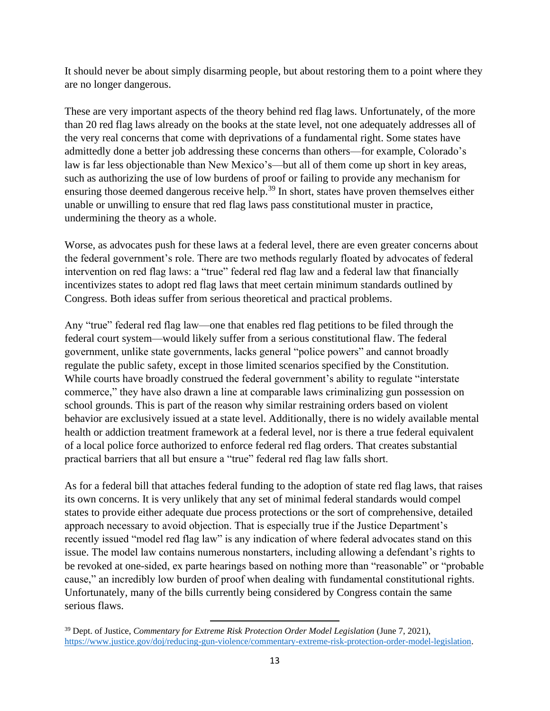It should never be about simply disarming people, but about restoring them to a point where they are no longer dangerous.

These are very important aspects of the theory behind red flag laws. Unfortunately, of the more than 20 red flag laws already on the books at the state level, not one adequately addresses all of the very real concerns that come with deprivations of a fundamental right. Some states have admittedly done a better job addressing these concerns than others—for example, Colorado's law is far less objectionable than New Mexico's—but all of them come up short in key areas, such as authorizing the use of low burdens of proof or failing to provide any mechanism for ensuring those deemed dangerous receive help.<sup>39</sup> In short, states have proven themselves either unable or unwilling to ensure that red flag laws pass constitutional muster in practice, undermining the theory as a whole.

Worse, as advocates push for these laws at a federal level, there are even greater concerns about the federal government's role. There are two methods regularly floated by advocates of federal intervention on red flag laws: a "true" federal red flag law and a federal law that financially incentivizes states to adopt red flag laws that meet certain minimum standards outlined by Congress. Both ideas suffer from serious theoretical and practical problems.

Any "true" federal red flag law—one that enables red flag petitions to be filed through the federal court system—would likely suffer from a serious constitutional flaw. The federal government, unlike state governments, lacks general "police powers" and cannot broadly regulate the public safety, except in those limited scenarios specified by the Constitution. While courts have broadly construed the federal government's ability to regulate "interstate" commerce," they have also drawn a line at comparable laws criminalizing gun possession on school grounds. This is part of the reason why similar restraining orders based on violent behavior are exclusively issued at a state level. Additionally, there is no widely available mental health or addiction treatment framework at a federal level, nor is there a true federal equivalent of a local police force authorized to enforce federal red flag orders. That creates substantial practical barriers that all but ensure a "true" federal red flag law falls short.

As for a federal bill that attaches federal funding to the adoption of state red flag laws, that raises its own concerns. It is very unlikely that any set of minimal federal standards would compel states to provide either adequate due process protections or the sort of comprehensive, detailed approach necessary to avoid objection. That is especially true if the Justice Department's recently issued "model red flag law" is any indication of where federal advocates stand on this issue. The model law contains numerous nonstarters, including allowing a defendant's rights to be revoked at one-sided, ex parte hearings based on nothing more than "reasonable" or "probable cause," an incredibly low burden of proof when dealing with fundamental constitutional rights. Unfortunately, many of the bills currently being considered by Congress contain the same serious flaws.

<sup>39</sup> Dept. of Justice, *Commentary for Extreme Risk Protection Order Model Legislation* (June 7, 2021), [https://www.justice.gov/doj/reducing-gun-violence/commentary-extreme-risk-protection-order-model-legislation.](https://www.justice.gov/doj/reducing-gun-violence/commentary-extreme-risk-protection-order-model-legislation)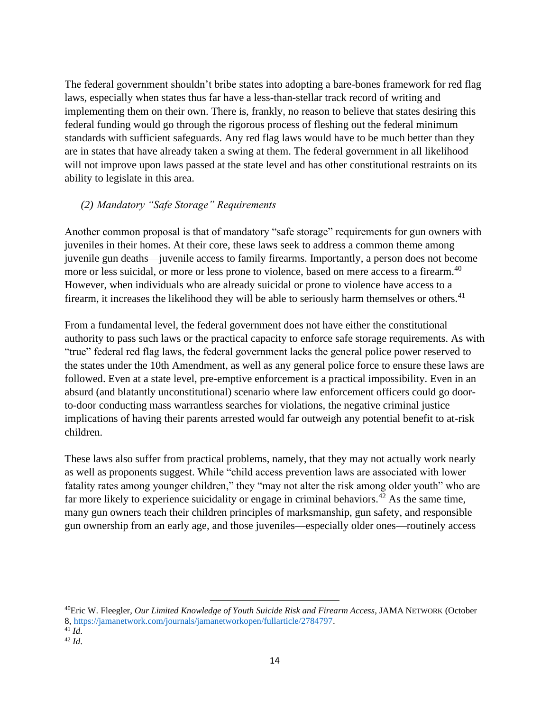The federal government shouldn't bribe states into adopting a bare-bones framework for red flag laws, especially when states thus far have a less-than-stellar track record of writing and implementing them on their own. There is, frankly, no reason to believe that states desiring this federal funding would go through the rigorous process of fleshing out the federal minimum standards with sufficient safeguards. Any red flag laws would have to be much better than they are in states that have already taken a swing at them. The federal government in all likelihood will not improve upon laws passed at the state level and has other constitutional restraints on its ability to legislate in this area.

#### *(2) Mandatory "Safe Storage" Requirements*

Another common proposal is that of mandatory "safe storage" requirements for gun owners with juveniles in their homes. At their core, these laws seek to address a common theme among juvenile gun deaths—juvenile access to family firearms. Importantly, a person does not become more or less suicidal, or more or less prone to violence, based on mere access to a firearm.<sup>40</sup> However, when individuals who are already suicidal or prone to violence have access to a firearm, it increases the likelihood they will be able to seriously harm themselves or others.<sup>41</sup>

From a fundamental level, the federal government does not have either the constitutional authority to pass such laws or the practical capacity to enforce safe storage requirements. As with "true" federal red flag laws, the federal government lacks the general police power reserved to the states under the 10th Amendment, as well as any general police force to ensure these laws are followed. Even at a state level, pre-emptive enforcement is a practical impossibility. Even in an absurd (and blatantly unconstitutional) scenario where law enforcement officers could go doorto-door conducting mass warrantless searches for violations, the negative criminal justice implications of having their parents arrested would far outweigh any potential benefit to at-risk children.

These laws also suffer from practical problems, namely, that they may not actually work nearly as well as proponents suggest. While "child access prevention laws are associated with lower fatality rates among younger children," they "may not alter the risk among older youth" who are far more likely to experience suicidality or engage in criminal behaviors.<sup>42</sup> As the same time, many gun owners teach their children principles of marksmanship, gun safety, and responsible gun ownership from an early age, and those juveniles—especially older ones—routinely access

<sup>40</sup>Eric W. Fleegler, *Our Limited Knowledge of Youth Suicide Risk and Firearm Access*, JAMA NETWORK (October 8, [https://jamanetwork.com/journals/jamanetworkopen/fullarticle/2784797.](https://jamanetwork.com/journals/jamanetworkopen/fullarticle/2784797)

<sup>41</sup> *Id*.

<sup>42</sup> *Id*.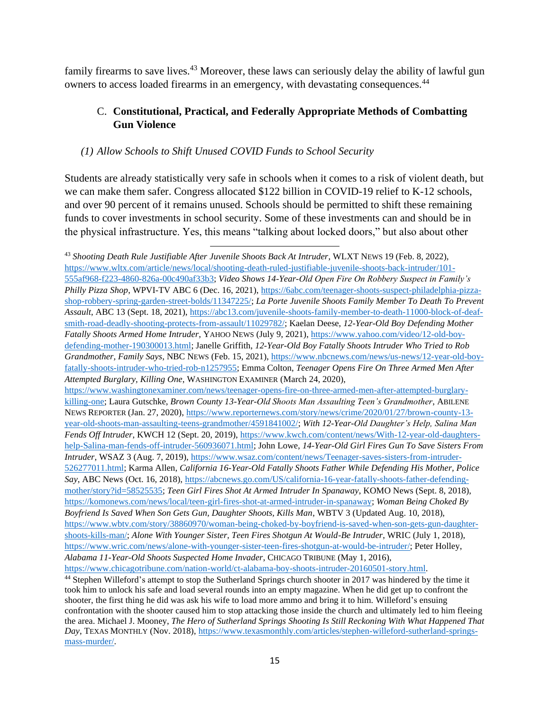family firearms to save lives.<sup>43</sup> Moreover, these laws can seriously delay the ability of lawful gun owners to access loaded firearms in an emergency, with devastating consequences.<sup>44</sup>

# C. **Constitutional, Practical, and Federally Appropriate Methods of Combatting Gun Violence**

#### *(1) Allow Schools to Shift Unused COVID Funds to School Security*

Students are already statistically very safe in schools when it comes to a risk of violent death, but we can make them safer. Congress allocated \$122 billion in COVID-19 relief to K-12 schools, and over 90 percent of it remains unused. Schools should be permitted to shift these remaining funds to cover investments in school security. Some of these investments can and should be in the physical infrastructure. Yes, this means "talking about locked doors," but also about other

<sup>43</sup> *Shooting Death Rule Justifiable After Juvenile Shoots Back At Intruder*, WLXT NEWS 19 (Feb. 8, 2022), [https://www.wltx.com/article/news/local/shooting-death-ruled-justifiable-juvenile-shoots-back-intruder/101-](https://www.wltx.com/article/news/local/shooting-death-ruled-justifiable-juvenile-shoots-back-intruder/101-555af968-f223-4860-826a-00c490af33b3) [555af968-f223-4860-826a-00c490af33b3;](https://www.wltx.com/article/news/local/shooting-death-ruled-justifiable-juvenile-shoots-back-intruder/101-555af968-f223-4860-826a-00c490af33b3) *Video Shows 14-Year-Old Open Fire On Robbery Suspect in Family's Philly Pizza Shop*, WPVI-TV ABC 6 (Dec. 16, 2021)[, https://6abc.com/teenager-shoots-suspect-philadelphia-pizza](https://6abc.com/teenager-shoots-suspect-philadelphia-pizza-shop-robbery-spring-garden-street-bolds/11347225/)[shop-robbery-spring-garden-street-bolds/11347225/;](https://6abc.com/teenager-shoots-suspect-philadelphia-pizza-shop-robbery-spring-garden-street-bolds/11347225/) *La Porte Juvenile Shoots Family Member To Death To Prevent Assault*, ABC 13 (Sept. 18, 2021), [https://abc13.com/juvenile-shoots-family-member-to-death-11000-block-of-deaf](https://abc13.com/juvenile-shoots-family-member-to-death-11000-block-of-deaf-smith-road-deadly-shooting-protects-from-assault/11029782/)[smith-road-deadly-shooting-protects-from-assault/11029782/;](https://abc13.com/juvenile-shoots-family-member-to-death-11000-block-of-deaf-smith-road-deadly-shooting-protects-from-assault/11029782/) Kaelan Deese, *12-Year-Old Boy Defending Mother Fatally Shoots Armed Home Intruder*, YAHOO NEWS (July 9, 2021), [https://www.yahoo.com/video/12-old-boy](https://www.yahoo.com/video/12-old-boy-defending-mother-190300013.html)[defending-mother-190300013.html;](https://www.yahoo.com/video/12-old-boy-defending-mother-190300013.html) Janelle Griffith, *12-Year-Old Boy Fatally Shoots Intruder Who Tried to Rob Grandmother, Family Says*, NBC NEWS (Feb. 15, 2021), [https://www.nbcnews.com/news/us-news/12-year-old-boy](https://www.nbcnews.com/news/us-news/12-year-old-boy-fatally-shoots-intruder-who-tried-rob-n1257955)[fatally-shoots-intruder-who-tried-rob-n1257955;](https://www.nbcnews.com/news/us-news/12-year-old-boy-fatally-shoots-intruder-who-tried-rob-n1257955) Emma Colton, *Teenager Opens Fire On Three Armed Men After Attempted Burglary, Killing One*, WASHINGTON EXAMINER (March 24, 2020), [https://www.washingtonexaminer.com/news/teenager-opens-fire-on-three-armed-men-after-attempted-burglary](https://www.washingtonexaminer.com/news/teenager-opens-fire-on-three-armed-men-after-attempted-burglary-killing-one)[killing-one;](https://www.washingtonexaminer.com/news/teenager-opens-fire-on-three-armed-men-after-attempted-burglary-killing-one) Laura Gutschke, *Brown County 13-Year-Old Shoots Man Assaulting Teen's Grandmother*, ABILENE NEWS REPORTER (Jan. 27, 2020), [https://www.reporternews.com/story/news/crime/2020/01/27/brown-county-13](https://www.reporternews.com/story/news/crime/2020/01/27/brown-county-13-year-old-shoots-man-assaulting-teens-grandmother/4591841002/) [year-old-shoots-man-assaulting-teens-grandmother/4591841002/;](https://www.reporternews.com/story/news/crime/2020/01/27/brown-county-13-year-old-shoots-man-assaulting-teens-grandmother/4591841002/) *With 12-Year-Old Daughter's Help, Salina Man Fends Off Intruder*, KWCH 12 (Sept. 20, 2019), [https://www.kwch.com/content/news/With-12-year-old-daughters](https://www.kwch.com/content/news/With-12-year-old-daughters-help-Salina-man-fends-off-intruder-560936071.html)[help-Salina-man-fends-off-intruder-560936071.html;](https://www.kwch.com/content/news/With-12-year-old-daughters-help-Salina-man-fends-off-intruder-560936071.html) John Lowe, *14-Year-Old Girl Fires Gun To Save Sisters From Intruder*, WSAZ 3 (Aug. 7, 2019)[, https://www.wsaz.com/content/news/Teenager-saves-sisters-from-intruder-](https://www.wsaz.com/content/news/Teenager-saves-sisters-from-intruder-526277011.html)[526277011.html;](https://www.wsaz.com/content/news/Teenager-saves-sisters-from-intruder-526277011.html) Karma Allen, *California 16-Year-Old Fatally Shoots Father While Defending His Mother, Police Say*, ABC News (Oct. 16, 2018), [https://abcnews.go.com/US/california-16-year-fatally-shoots-father-defending](https://abcnews.go.com/US/california-16-year-fatally-shoots-father-defending-mother/story?id=58525535)[mother/story?id=58525535;](https://abcnews.go.com/US/california-16-year-fatally-shoots-father-defending-mother/story?id=58525535) *Teen Girl Fires Shot At Armed Intruder In Spanaway*, KOMO News (Sept. 8, 2018), [https://komonews.com/news/local/teen-girl-fires-shot-at-armed-intruder-in-spanaway;](https://komonews.com/news/local/teen-girl-fires-shot-at-armed-intruder-in-spanaway) *Woman Being Choked By Boyfriend Is Saved When Son Gets Gun, Daughter Shoots, Kills Man*, WBTV 3 (Updated Aug. 10, 2018), [https://www.wbtv.com/story/38860970/woman-being-choked-by-boyfriend-is-saved-when-son-gets-gun-daughter](https://www.wbtv.com/story/38860970/woman-being-choked-by-boyfriend-is-saved-when-son-gets-gun-daughter-shoots-kills-man/)[shoots-kills-man/;](https://www.wbtv.com/story/38860970/woman-being-choked-by-boyfriend-is-saved-when-son-gets-gun-daughter-shoots-kills-man/) *Alone With Younger Sister, Teen Fires Shotgun At Would-Be Intruder*, WRIC (July 1, 2018), [https://www.wric.com/news/alone-with-younger-sister-teen-fires-shotgun-at-would-be-intruder/;](https://www.wric.com/news/alone-with-younger-sister-teen-fires-shotgun-at-would-be-intruder/) Peter Holley, *Alabama 11-Year-Old Shoots Suspected Home Invader*, CHICAGO TRIBUNE (May 1, 2016), [https://www.chicagotribune.com/nation-world/ct-alabama-boy-shoots-intruder-20160501-story.html.](https://www.chicagotribune.com/nation-world/ct-alabama-boy-shoots-intruder-20160501-story.html) <sup>44</sup> Stephen Willeford's attempt to stop the Sutherland Springs church shooter in 2017 was hindered by the time it

took him to unlock his safe and load several rounds into an empty magazine. When he did get up to confront the shooter, the first thing he did was ask his wife to load more ammo and bring it to him. Willeford's ensuing confrontation with the shooter caused him to stop attacking those inside the church and ultimately led to him fleeing the area. Michael J. Mooney, *The Hero of Sutherland Springs Shooting Is Still Reckoning With What Happened That Day*, TEXAS MONTHLY (Nov. 2018), [https://www.texasmonthly.com/articles/stephen-willeford-sutherland-springs](https://www.texasmonthly.com/articles/stephen-willeford-sutherland-springs-mass-murder/)[mass-murder/.](https://www.texasmonthly.com/articles/stephen-willeford-sutherland-springs-mass-murder/)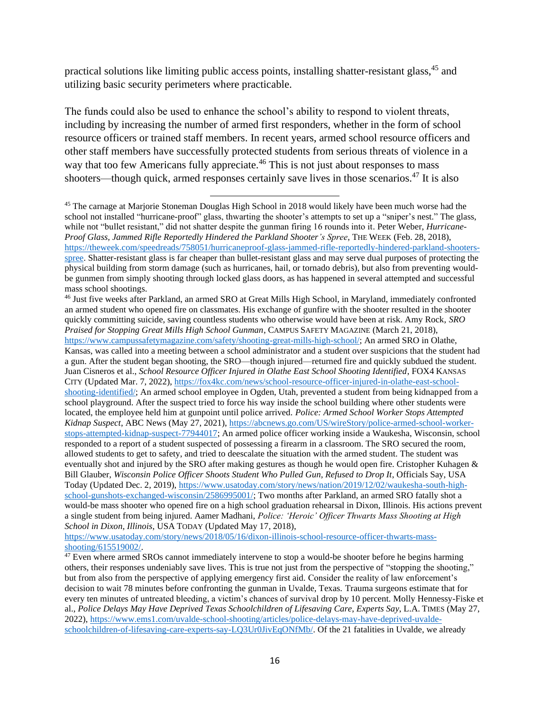practical solutions like limiting public access points, installing shatter-resistant glass,<sup>45</sup> and utilizing basic security perimeters where practicable.

The funds could also be used to enhance the school's ability to respond to violent threats, including by increasing the number of armed first responders, whether in the form of school resource officers or trained staff members. In recent years, armed school resource officers and other staff members have successfully protected students from serious threats of violence in a way that too few Americans fully appreciate.<sup>46</sup> This is not just about responses to mass shooters—though quick, armed responses certainly save lives in those scenarios.<sup>47</sup> It is also

<sup>46</sup> Just five weeks after Parkland, an armed SRO at Great Mills High School, in Maryland, immediately confronted an armed student who opened fire on classmates. His exchange of gunfire with the shooter resulted in the shooter quickly committing suicide, saving countless students who otherwise would have been at risk. Amy Rock, *SRO Praised for Stopping Great Mills High School Gunman*, CAMPUS SAFETY MAGAZINE (March 21, 2018), [https://www.campussafetymagazine.com/safety/shooting-great-mills-high-school/;](https://www.campussafetymagazine.com/safety/shooting-great-mills-high-school/) An armed SRO in Olathe, Kansas, was called into a meeting between a school administrator and a student over suspicions that the student had a gun. After the student began shooting, the SRO—though injured—returned fire and quickly subdued the student. Juan Cisneros et al., *School Resource Officer Injured in Olathe East School Shooting Identified*, FOX4 KANSAS CITY (Updated Mar. 7, 2022), [https://fox4kc.com/news/school-resource-officer-injured-in-olathe-east-school](https://fox4kc.com/news/school-resource-officer-injured-in-olathe-east-school-shooting-identified/)[shooting-identified/;](https://fox4kc.com/news/school-resource-officer-injured-in-olathe-east-school-shooting-identified/) An armed school employee in Ogden, Utah, prevented a student from being kidnapped from a school playground. After the suspect tried to force his way inside the school building where other students were located, the employee held him at gunpoint until police arrived. *Police: Armed School Worker Stops Attempted Kidnap Suspect*, ABC News (May 27, 2021), [https://abcnews.go.com/US/wireStory/police-armed-school-worker](https://abcnews.go.com/US/wireStory/police-armed-school-worker-stops-attempted-kidnap-suspect-77944017)[stops-attempted-kidnap-suspect-77944017;](https://abcnews.go.com/US/wireStory/police-armed-school-worker-stops-attempted-kidnap-suspect-77944017) An armed police officer working inside a Waukesha, Wisconsin, school responded to a report of a student suspected of possessing a firearm in a classroom. The SRO secured the room, allowed students to get to safety, and tried to deescalate the situation with the armed student. The student was eventually shot and injured by the SRO after making gestures as though he would open fire. Cristopher Kuhagen & Bill Glauber, *Wisconsin Police Officer Shoots Student Who Pulled Gun, Refused to Drop It*, Officials Say, USA Today (Updated Dec. 2, 2019), [https://www.usatoday.com/story/news/nation/2019/12/02/waukesha-south-high](https://www.usatoday.com/story/news/nation/2019/12/02/waukesha-south-high-school-gunshots-exchanged-wisconsin/2586995001/)[school-gunshots-exchanged-wisconsin/2586995001/;](https://www.usatoday.com/story/news/nation/2019/12/02/waukesha-south-high-school-gunshots-exchanged-wisconsin/2586995001/) Two months after Parkland, an armed SRO fatally shot a would-be mass shooter who opened fire on a high school graduation rehearsal in Dixon, Illinois. His actions prevent a single student from being injured. Aamer Madhani, *Police: 'Heroic' Officer Thwarts Mass Shooting at High School in Dixon, Illinois*, USA TODAY (Updated May 17, 2018),

[https://www.usatoday.com/story/news/2018/05/16/dixon-illinois-school-resource-officer-thwarts-mass](https://www.usatoday.com/story/news/2018/05/16/dixon-illinois-school-resource-officer-thwarts-mass-shooting/615519002/)[shooting/615519002/.](https://www.usatoday.com/story/news/2018/05/16/dixon-illinois-school-resource-officer-thwarts-mass-shooting/615519002/)

<sup>47</sup> Even where armed SROs cannot immediately intervene to stop a would-be shooter before he begins harming others, their responses undeniably save lives. This is true not just from the perspective of "stopping the shooting," but from also from the perspective of applying emergency first aid. Consider the reality of law enforcement's decision to wait 78 minutes before confronting the gunman in Uvalde, Texas. Trauma surgeons estimate that for every ten minutes of untreated bleeding, a victim's chances of survival drop by 10 percent. Molly Hennessy-Fiske et al., *Police Delays May Have Deprived Texas Schoolchildren of Lifesaving Care*, *Experts Say*, L.A. TIMES (May 27, 2022), [https://www.ems1.com/uvalde-school-shooting/articles/police-delays-may-have-deprived-uvalde](https://www.ems1.com/uvalde-school-shooting/articles/police-delays-may-have-deprived-uvalde-schoolchildren-of-lifesaving-care-experts-say-LQ3Ur0JivEqONfMb/)[schoolchildren-of-lifesaving-care-experts-say-LQ3Ur0JivEqONfMb/.](https://www.ems1.com/uvalde-school-shooting/articles/police-delays-may-have-deprived-uvalde-schoolchildren-of-lifesaving-care-experts-say-LQ3Ur0JivEqONfMb/) Of the 21 fatalities in Uvalde, we already

<sup>&</sup>lt;sup>45</sup> The carnage at Marjorie Stoneman Douglas High School in 2018 would likely have been much worse had the school not installed "hurricane-proof" glass, thwarting the shooter's attempts to set up a "sniper's nest." The glass, while not "bullet resistant," did not shatter despite the gunman firing 16 rounds into it. Peter Weber, *Hurricane-Proof Glass, Jammed Rifle Reportedly Hindered the Parkland Shooter's Spree*, THE WEEK (Feb. 28, 2018), [https://theweek.com/speedreads/758051/hurricaneproof-glass-jammed-rifle-reportedly-hindered-parkland-shooters](https://theweek.com/speedreads/758051/hurricaneproof-glass-jammed-rifle-reportedly-hindered-parkland-shooters-spree)[spree.](https://theweek.com/speedreads/758051/hurricaneproof-glass-jammed-rifle-reportedly-hindered-parkland-shooters-spree) Shatter-resistant glass is far cheaper than bullet-resistant glass and may serve dual purposes of protecting the physical building from storm damage (such as hurricanes, hail, or tornado debris), but also from preventing wouldbe gunmen from simply shooting through locked glass doors, as has happened in several attempted and successful mass school shootings.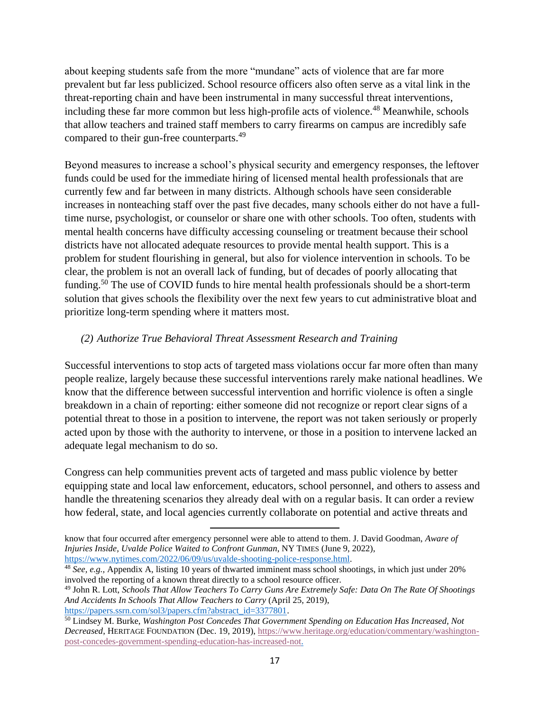about keeping students safe from the more "mundane" acts of violence that are far more prevalent but far less publicized. School resource officers also often serve as a vital link in the threat-reporting chain and have been instrumental in many successful threat interventions, including these far more common but less high-profile acts of violence.<sup>48</sup> Meanwhile, schools that allow teachers and trained staff members to carry firearms on campus are incredibly safe compared to their gun-free counterparts.<sup>49</sup>

Beyond measures to increase a school's physical security and emergency responses, the leftover funds could be used for the immediate hiring of licensed mental health professionals that are currently few and far between in many districts. Although schools have seen considerable increases in nonteaching staff over the past five decades, many schools either do not have a fulltime nurse, psychologist, or counselor or share one with other schools. Too often, students with mental health concerns have difficulty accessing counseling or treatment because their school districts have not allocated adequate resources to provide mental health support. This is a problem for student flourishing in general, but also for violence intervention in schools. To be clear, the problem is not an overall lack of funding, but of decades of poorly allocating that funding.<sup>50</sup> The use of COVID funds to hire mental health professionals should be a short-term solution that gives schools the flexibility over the next few years to cut administrative bloat and prioritize long-term spending where it matters most.

## *(2) Authorize True Behavioral Threat Assessment Research and Training*

Successful interventions to stop acts of targeted mass violations occur far more often than many people realize, largely because these successful interventions rarely make national headlines. We know that the difference between successful intervention and horrific violence is often a single breakdown in a chain of reporting: either someone did not recognize or report clear signs of a potential threat to those in a position to intervene, the report was not taken seriously or properly acted upon by those with the authority to intervene, or those in a position to intervene lacked an adequate legal mechanism to do so.

Congress can help communities prevent acts of targeted and mass public violence by better equipping state and local law enforcement, educators, school personnel, and others to assess and handle the threatening scenarios they already deal with on a regular basis. It can order a review how federal, state, and local agencies currently collaborate on potential and active threats and

know that four occurred after emergency personnel were able to attend to them. J. David Goodman, *Aware of Injuries Inside, Uvalde Police Waited to Confront Gunman*, NY TIMES (June 9, 2022), [https://www.nytimes.com/2022/06/09/us/uvalde-shooting-police-response.html.](https://www.nytimes.com/2022/06/09/us/uvalde-shooting-police-response.html)

<sup>48</sup> *See, e.g.,* Appendix A, listing 10 years of thwarted imminent mass school shootings, in which just under 20% involved the reporting of a known threat directly to a school resource officer.

<sup>49</sup> John R. Lott, *Schools That Allow Teachers To Carry Guns Are Extremely Safe: Data On The Rate Of Shootings And Accidents In Schools That Allow Teachers to Carry* (April 25, 2019), [https://papers.ssrn.com/sol3/papers.cfm?abstract\\_id=3377801.](https://papers.ssrn.com/sol3/papers.cfm?abstract_id=3377801)

<sup>50</sup> Lindsey M. Burke, *Washington Post Concedes That Government Spending on Education Has Increased, Not Decreased*, HERITAGE FOUNDATION (Dec. 19, 2019), [https://www.heritage.org/education/commentary/washington](https://www.heritage.org/education/commentary/washington-post-concedes-government-spending-education-has-increased-not)[post-concedes-government-spending-education-has-increased-not.](https://www.heritage.org/education/commentary/washington-post-concedes-government-spending-education-has-increased-not)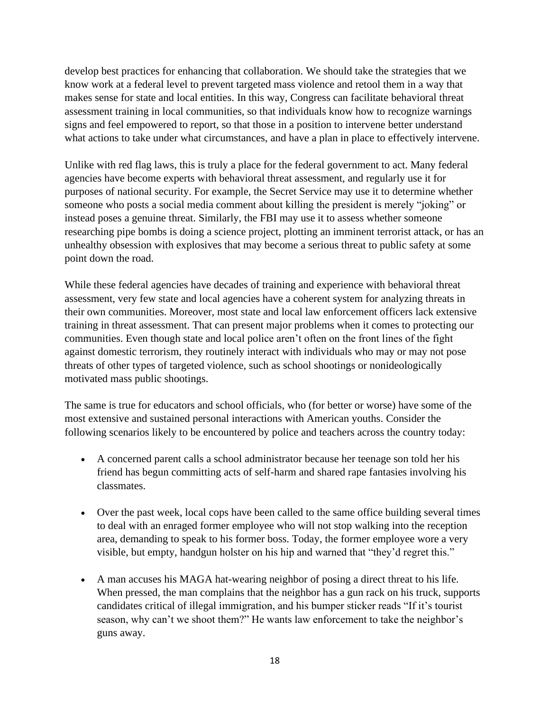develop best practices for enhancing that collaboration. We should take the strategies that we know work at a federal level to prevent targeted mass violence and retool them in a way that makes sense for state and local entities. In this way, Congress can facilitate behavioral threat assessment training in local communities, so that individuals know how to recognize warnings signs and feel empowered to report, so that those in a position to intervene better understand what actions to take under what circumstances, and have a plan in place to effectively intervene.

Unlike with red flag laws, this is truly a place for the federal government to act. Many federal agencies have become experts with behavioral threat assessment, and regularly use it for purposes of national security. For example, the Secret Service may use it to determine whether someone who posts a social media comment about killing the president is merely "joking" or instead poses a genuine threat. Similarly, the FBI may use it to assess whether someone researching pipe bombs is doing a science project, plotting an imminent terrorist attack, or has an unhealthy obsession with explosives that may become a serious threat to public safety at some point down the road.

While these federal agencies have decades of training and experience with behavioral threat assessment, very few state and local agencies have a coherent system for analyzing threats in their own communities. Moreover, most state and local law enforcement officers lack extensive training in threat assessment. That can present major problems when it comes to protecting our communities. Even though state and local police aren't often on the front lines of the fight against domestic terrorism, they routinely interact with individuals who may or may not pose threats of other types of targeted violence, such as school shootings or nonideologically motivated mass public shootings.

The same is true for educators and school officials, who (for better or worse) have some of the most extensive and sustained personal interactions with American youths. Consider the following scenarios likely to be encountered by police and teachers across the country today:

- A concerned parent calls a school administrator because her teenage son told her his friend has begun committing acts of self-harm and shared rape fantasies involving his classmates.
- Over the past week, local cops have been called to the same office building several times to deal with an enraged former employee who will not stop walking into the reception area, demanding to speak to his former boss. Today, the former employee wore a very visible, but empty, handgun holster on his hip and warned that "they'd regret this."
- A man accuses his MAGA hat-wearing neighbor of posing a direct threat to his life. When pressed, the man complains that the neighbor has a gun rack on his truck, supports candidates critical of illegal immigration, and his bumper sticker reads "If it's tourist season, why can't we shoot them?" He wants law enforcement to take the neighbor's guns away.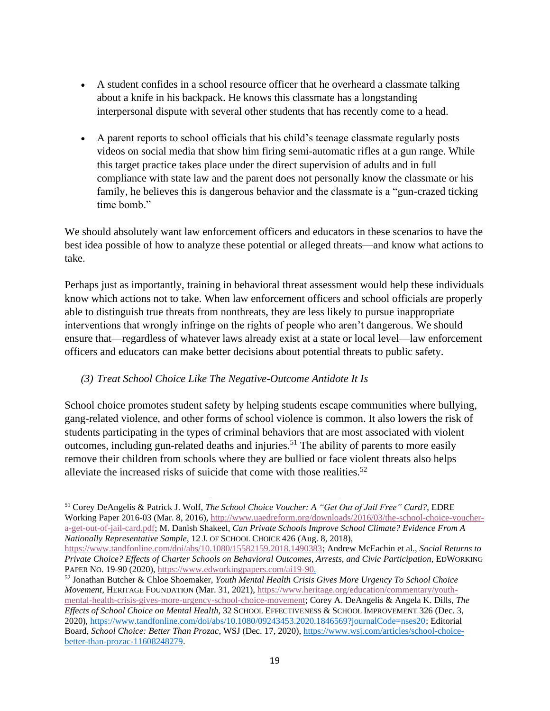- A student confides in a school resource officer that he overheard a classmate talking about a knife in his backpack. He knows this classmate has a longstanding interpersonal dispute with several other students that has recently come to a head.
- A parent reports to school officials that his child's teenage classmate regularly posts videos on social media that show him firing semi-automatic rifles at a gun range. While this target practice takes place under the direct supervision of adults and in full compliance with state law and the parent does not personally know the classmate or his family, he believes this is dangerous behavior and the classmate is a "gun-crazed ticking time bomb."

We should absolutely want law enforcement officers and educators in these scenarios to have the best idea possible of how to analyze these potential or alleged threats—and know what actions to take.

Perhaps just as importantly, training in behavioral threat assessment would help these individuals know which actions not to take. When law enforcement officers and school officials are properly able to distinguish true threats from nonthreats, they are less likely to pursue inappropriate interventions that wrongly infringe on the rights of people who aren't dangerous. We should ensure that—regardless of whatever laws already exist at a state or local level—law enforcement officers and educators can make better decisions about potential threats to public safety.

#### *(3) Treat School Choice Like The Negative-Outcome Antidote It Is*

School choice promotes student safety by helping students escape communities where bullying, gang-related violence, and other forms of school violence is common. It also lowers the risk of students participating in the types of criminal behaviors that are most associated with violent outcomes, including gun-related deaths and injuries.<sup>51</sup> The ability of parents to more easily remove their children from schools where they are bullied or face violent threats also helps alleviate the increased risks of suicide that come with those realities.<sup>52</sup>

<sup>51</sup> Corey DeAngelis & Patrick J. Wolf, *The School Choice Voucher: A "Get Out of Jail Free" Card?*, EDRE Working Paper 2016-03 (Mar. 8, 2016), [http://www.uaedreform.org/downloads/2016/03/the-school-choice-voucher](http://www.uaedreform.org/downloads/2016/03/the-school-choice-voucher-a-get-out-of-jail-card.pdf)[a-get-out-of-jail-card.pdf;](http://www.uaedreform.org/downloads/2016/03/the-school-choice-voucher-a-get-out-of-jail-card.pdf) M. Danish Shakeel, *Can Private Schools Improve School Climate? Evidence From A Nationally Representative Sample*, 12 J. OF SCHOOL CHOICE 426 (Aug. 8, 2018),

[https://www.tandfonline.com/doi/abs/10.1080/15582159.2018.1490383;](https://www.tandfonline.com/doi/abs/10.1080/15582159.2018.1490383) Andrew McEachin et al., *Social Returns to Private Choice? Effects of Charter Schools on Behavioral Outcomes, Arrests, and Civic Participation*, EDWORKING PAPER NO. 19-90 (2020), [https://www.edworkingpapers.com/ai19-90.](https://www.edworkingpapers.com/ai19-90)

<sup>52</sup> Jonathan Butcher & Chloe Shoemaker, *Youth Mental Health Crisis Gives More Urgency To School Choice Movement*, HERITAGE FOUNDATION (Mar. 31, 2021), [https://www.heritage.org/education/commentary/youth](https://www.heritage.org/education/commentary/youth-mental-health-crisis-gives-more-urgency-school-choice-movement)[mental-health-crisis-gives-more-urgency-school-choice-movement;](https://www.heritage.org/education/commentary/youth-mental-health-crisis-gives-more-urgency-school-choice-movement) Corey A. DeAngelis & Angela K. Dills, *The Effects of School Choice on Mental Health*, 32 SCHOOL EFFECTIVENESS & SCHOOL IMPROVEMENT 326 (Dec. 3, 2020), [https://www.tandfonline.com/doi/abs/10.1080/09243453.2020.1846569?journalCode=nses20;](https://www.tandfonline.com/doi/abs/10.1080/09243453.2020.1846569?journalCode=nses20) Editorial Board, *School Choice: Better Than Prozac*, WSJ (Dec. 17, 2020), [https://www.wsj.com/articles/school-choice](https://www.wsj.com/articles/school-choice-better-than-prozac-11608248279)[better-than-prozac-11608248279.](https://www.wsj.com/articles/school-choice-better-than-prozac-11608248279)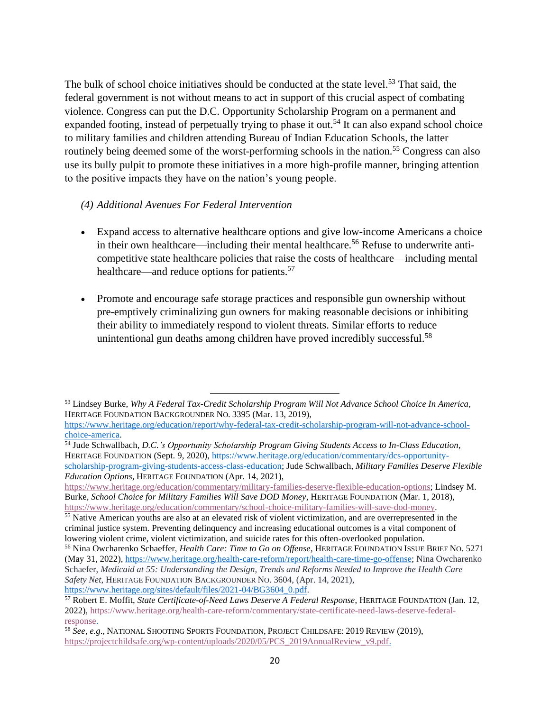The bulk of school choice initiatives should be conducted at the state level.<sup>53</sup> That said, the federal government is not without means to act in support of this crucial aspect of combating violence. Congress can put the D.C. Opportunity Scholarship Program on a permanent and expanded footing, instead of perpetually trying to phase it out.<sup>54</sup> It can also expand school choice to military families and children attending Bureau of Indian Education Schools, the latter routinely being deemed some of the worst-performing schools in the nation.<sup>55</sup> Congress can also use its bully pulpit to promote these initiatives in a more high-profile manner, bringing attention to the positive impacts they have on the nation's young people.

#### *(4) Additional Avenues For Federal Intervention*

- Expand access to alternative healthcare options and give low-income Americans a choice in their own healthcare—including their mental healthcare.<sup>56</sup> Refuse to underwrite anticompetitive state healthcare policies that raise the costs of healthcare—including mental healthcare—and reduce options for patients.<sup>57</sup>
- Promote and encourage safe storage practices and responsible gun ownership without pre-emptively criminalizing gun owners for making reasonable decisions or inhibiting their ability to immediately respond to violent threats. Similar efforts to reduce unintentional gun deaths among children have proved incredibly successful.<sup>58</sup>

<sup>53</sup> Lindsey Burke, *Why A Federal Tax-Credit Scholarship Program Will Not Advance School Choice In America*, HERITAGE FOUNDATION BACKGROUNDER NO. 3395 (Mar. 13, 2019),

[https://www.heritage.org/education/report/why-federal-tax-credit-scholarship-program-will-not-advance-school](https://www.heritage.org/education/report/why-federal-tax-credit-scholarship-program-will-not-advance-school-choice-america)[choice-america.](https://www.heritage.org/education/report/why-federal-tax-credit-scholarship-program-will-not-advance-school-choice-america)

<sup>54</sup> Jude Schwallbach*, D.C.'s Opportunity Scholarship Program Giving Students Access to In-Class Education*, HERITAGE FOUNDATION (Sept. 9, 2020), [https://www.heritage.org/education/commentary/dcs-opportunity](https://www.heritage.org/education/commentary/dcs-opportunity-scholarship-program-giving-students-access-class-education)[scholarship-program-giving-students-access-class-education;](https://www.heritage.org/education/commentary/dcs-opportunity-scholarship-program-giving-students-access-class-education) Jude Schwallbach, *Military Families Deserve Flexible Education Options*, HERITAGE FOUNDATION (Apr. 14, 2021),

[https://www.heritage.org/education/commentary/military-families-deserve-flexible-education-options;](https://www.heritage.org/education/commentary/military-families-deserve-flexible-education-options) Lindsey M. Burke*, School Choice for Military Families Will Save DOD Money*, HERITAGE FOUNDATION (Mar. 1, 2018), [https://www.heritage.org/education/commentary/school-choice-military-families-will-save-dod-money.](https://www.heritage.org/education/commentary/school-choice-military-families-will-save-dod-money)

<sup>&</sup>lt;sup>55</sup> Native American youths are also at an elevated risk of violent victimization, and are overrepresented in the criminal justice system. Preventing delinquency and increasing educational outcomes is a vital component of lowering violent crime, violent victimization, and suicide rates for this often-overlooked population.

<sup>56</sup> Nina Owcharenko Schaeffer, *Health Care: Time to Go on Offense*, HERITAGE FOUNDATION ISSUE BRIEF NO. 5271 (May 31, 2022), [https://www.heritage.org/health-care-reform/report/health-care-time-go-offense;](https://www.heritage.org/health-care-reform/report/health-care-time-go-offense) Nina Owcharenko Schaefer, *Medicaid at 55: Understanding the Design, Trends and Reforms Needed to Improve the Health Care Safety Net*, HERITAGE FOUNDATION BACKGROUNDER NO. 3604, (Apr. 14, 2021), [https://www.heritage.org/sites/default/files/2021-04/BG3604\\_0.pdf.](https://www.heritage.org/sites/default/files/2021-04/BG3604_0.pdf)

<sup>57</sup> Robert E. Moffit, *State Certificate-of-Need Laws Deserve A Federal Response*, HERITAGE FOUNDATION (Jan. 12, 2022), [https://www.heritage.org/health-care-reform/commentary/state-certificate-need-laws-deserve-federal](https://www.heritage.org/health-care-reform/commentary/state-certificate-need-laws-deserve-federal-response)[response.](https://www.heritage.org/health-care-reform/commentary/state-certificate-need-laws-deserve-federal-response)

<sup>58</sup> *See, e.g*., NATIONAL SHOOTING SPORTS FOUNDATION, PROJECT CHILDSAFE: 2019 REVIEW (2019), [https://projectchildsafe.org/wp-content/uploads/2020/05/PCS\\_2019AnnualReview\\_v9.pdf.](https://projectchildsafe.org/wp-content/uploads/2020/05/PCS_2019AnnualReview_v9.pdf)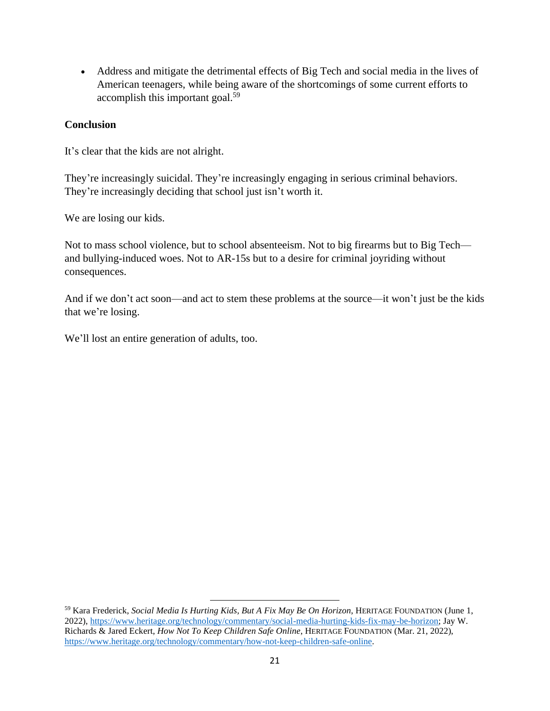• Address and mitigate the detrimental effects of Big Tech and social media in the lives of American teenagers, while being aware of the shortcomings of some current efforts to accomplish this important goal.<sup>59</sup>

#### **Conclusion**

It's clear that the kids are not alright.

They're increasingly suicidal. They're increasingly engaging in serious criminal behaviors. They're increasingly deciding that school just isn't worth it.

We are losing our kids.

Not to mass school violence, but to school absenteeism. Not to big firearms but to Big Tech and bullying-induced woes. Not to AR-15s but to a desire for criminal joyriding without consequences.

And if we don't act soon—and act to stem these problems at the source—it won't just be the kids that we're losing.

We'll lost an entire generation of adults, too.

<sup>59</sup> Kara Frederick, *Social Media Is Hurting Kids, But A Fix May Be On Horizon*, HERITAGE FOUNDATION (June 1, 2022), [https://www.heritage.org/technology/commentary/social-media-hurting-kids-fix-may-be-horizon;](https://www.heritage.org/technology/commentary/social-media-hurting-kids-fix-may-be-horizon) Jay W. Richards & Jared Eckert, *How Not To Keep Children Safe Online*, HERITAGE FOUNDATION (Mar. 21, 2022), [https://www.heritage.org/technology/commentary/how-not-keep-children-safe-online.](https://www.heritage.org/technology/commentary/how-not-keep-children-safe-online)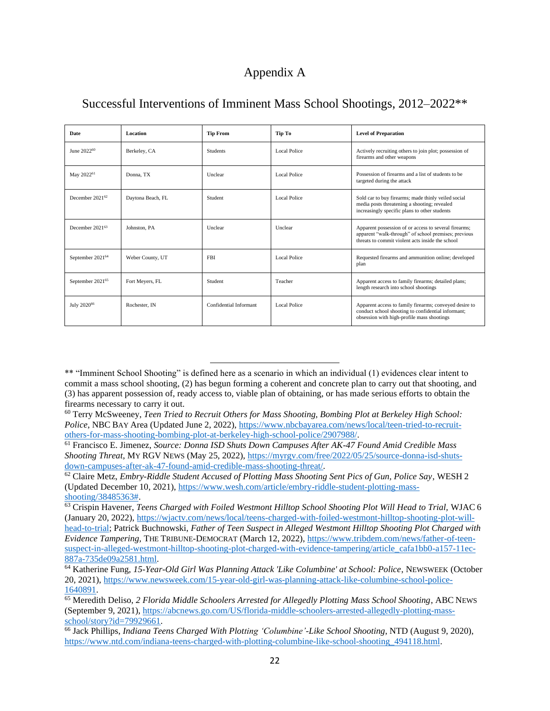# Appendix A

| <b>Date</b>                 | Location          | <b>Tip From</b>        | Tip To              | <b>Level of Preparation</b>                                                                                                                                       |
|-----------------------------|-------------------|------------------------|---------------------|-------------------------------------------------------------------------------------------------------------------------------------------------------------------|
| June 2022 <sup>60</sup>     | Berkeley, CA      | <b>Students</b>        | Local Police        | Actively recruiting others to join plot; possession of<br>firearms and other weapons                                                                              |
| May 2022 <sup>61</sup>      | Donna, TX         | Unclear                | Local Police        | Possession of firearms and a list of students to be<br>targeted during the attack                                                                                 |
| December $2021^{62}$        | Daytona Beach, FL | Student                | Local Police        | Sold car to buy firearms; made thinly veiled social<br>media posts threatening a shooting; revealed<br>increasingly specific plans to other students              |
| December 2021 <sup>63</sup> | Johnston, PA      | Unclear                | Unclear             | Apparent possession of or access to several firearms;<br>apparent "walk-through" of school premises; previous<br>threats to commit violent acts inside the school |
| September 202164            | Weber County, UT  | <b>FBI</b>             | Local Police        | Requested firearms and ammunition online; developed<br>plan                                                                                                       |
| September 202165            | Fort Meyers, FL   | Student                | Teacher             | Apparent access to family firearms; detailed plans;<br>length research into school shootings                                                                      |
| July 2020 <sup>66</sup>     | Rochester, IN     | Confidential Informant | <b>Local Police</b> | Apparent access to family firearms; conveyed desire to<br>conduct school shooting to confidential informant;<br>obsession with high-profile mass shootings        |

# Successful Interventions of Imminent Mass School Shootings, 2012–2022\*\*

<sup>\*\* &</sup>quot;Imminent School Shooting" is defined here as a scenario in which an individual (1) evidences clear intent to commit a mass school shooting, (2) has begun forming a coherent and concrete plan to carry out that shooting, and (3) has apparent possession of, ready access to, viable plan of obtaining, or has made serious efforts to obtain the firearms necessary to carry it out.

<sup>60</sup> Terry McSweeney, *Teen Tried to Recruit Others for Mass Shooting, Bombing Plot at Berkeley High School: Police*, NBC BAY Area (Updated June 2, 2022), [https://www.nbcbayarea.com/news/local/teen-tried-to-recruit](https://www.nbcbayarea.com/news/local/teen-tried-to-recruit-others-for-mass-shooting-bombing-plot-at-berkeley-high-school-police/2907988/)[others-for-mass-shooting-bombing-plot-at-berkeley-high-school-police/2907988/.](https://www.nbcbayarea.com/news/local/teen-tried-to-recruit-others-for-mass-shooting-bombing-plot-at-berkeley-high-school-police/2907988/)

<sup>61</sup> Francisco E. Jimenez, *Source: Donna ISD Shuts Down Campuses After AK-47 Found Amid Credible Mass Shooting Threat*, MY RGV NEWS (May 25, 2022)[, https://myrgv.com/free/2022/05/25/source-donna-isd-shuts](https://myrgv.com/free/2022/05/25/source-donna-isd-shuts-down-campuses-after-ak-47-found-amid-credible-mass-shooting-threat/)[down-campuses-after-ak-47-found-amid-credible-mass-shooting-threat/.](https://myrgv.com/free/2022/05/25/source-donna-isd-shuts-down-campuses-after-ak-47-found-amid-credible-mass-shooting-threat/)

<sup>62</sup> Claire Metz, *Embry-Riddle Student Accused of Plotting Mass Shooting Sent Pics of Gun, Police Say*, WESH 2 (Updated December 10, 2021)[, https://www.wesh.com/article/embry-riddle-student-plotting-mass](https://www.wesh.com/article/embry-riddle-student-plotting-mass-shooting/38485363)[shooting/38485363#.](https://www.wesh.com/article/embry-riddle-student-plotting-mass-shooting/38485363)

<sup>63</sup> Crispin Havener, *Teens Charged with Foiled Westmont Hilltop School Shooting Plot Will Head to Trial,* WJAC 6 (January 20, 2022), [https://wjactv.com/news/local/teens-charged-with-foiled-westmont-hilltop-shooting-plot-will](https://wjactv.com/news/local/teens-charged-with-foiled-westmont-hilltop-shooting-plot-will-head-to-trial)[head-to-trial;](https://wjactv.com/news/local/teens-charged-with-foiled-westmont-hilltop-shooting-plot-will-head-to-trial) Patrick Buchnowski, *Father of Teen Suspect in Alleged Westmont Hilltop Shooting Plot Charged with Evidence Tampering,* THE TRIBUNE-DEMOCRAT (March 12, 2022), [https://www.tribdem.com/news/father-of-teen](https://www.tribdem.com/news/father-of-teen-suspect-in-alleged-westmont-hilltop-shooting-plot-charged-with-evidence-tampering/article_cafa1bb0-a157-11ec-887a-735de09a2581.html)[suspect-in-alleged-westmont-hilltop-shooting-plot-charged-with-evidence-tampering/article\\_cafa1bb0-a157-11ec-](https://www.tribdem.com/news/father-of-teen-suspect-in-alleged-westmont-hilltop-shooting-plot-charged-with-evidence-tampering/article_cafa1bb0-a157-11ec-887a-735de09a2581.html)[887a-735de09a2581.html.](https://www.tribdem.com/news/father-of-teen-suspect-in-alleged-westmont-hilltop-shooting-plot-charged-with-evidence-tampering/article_cafa1bb0-a157-11ec-887a-735de09a2581.html)

<sup>64</sup> Katherine Fung, *15-Year-Old Girl Was Planning Attack 'Like Columbine' at School: Police*, NEWSWEEK (October 20, 2021), [https://www.newsweek.com/15-year-old-girl-was-planning-attack-like-columbine-school-police-](https://www.newsweek.com/15-year-old-girl-was-planning-attack-like-columbine-school-police-1640891)[1640891.](https://www.newsweek.com/15-year-old-girl-was-planning-attack-like-columbine-school-police-1640891)

<sup>65</sup> Meredith Deliso, *2 Florida Middle Schoolers Arrested for Allegedly Plotting Mass School Shooting*, ABC NEWS (September 9, 2021), [https://abcnews.go.com/US/florida-middle-schoolers-arrested-allegedly-plotting-mass](https://abcnews.go.com/US/florida-middle-schoolers-arrested-allegedly-plotting-mass-school/story?id=79929661)[school/story?id=79929661.](https://abcnews.go.com/US/florida-middle-schoolers-arrested-allegedly-plotting-mass-school/story?id=79929661)

<sup>66</sup> Jack Phillips, *Indiana Teens Charged With Plotting 'Columbine'-Like School Shooting*, NTD (August 9, 2020), [https://www.ntd.com/indiana-teens-charged-with-plotting-columbine-like-school-shooting\\_494118.html.](https://www.ntd.com/indiana-teens-charged-with-plotting-columbine-like-school-shooting_494118.html)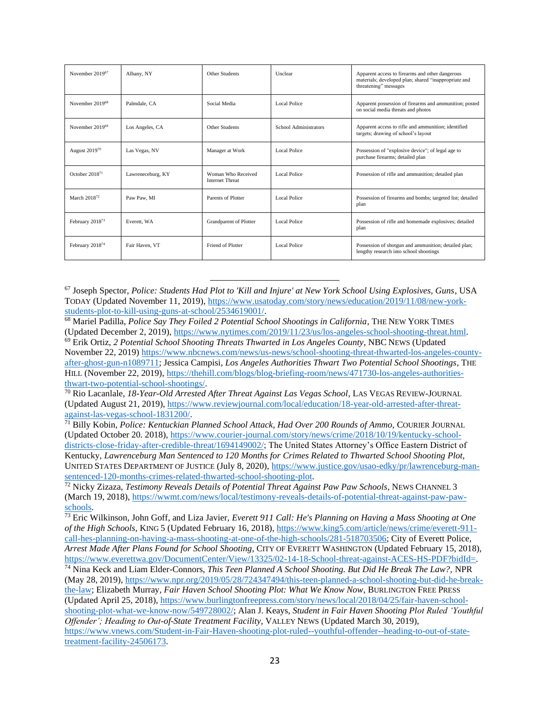| November 2019 <sup>67</sup> | Albany, NY        | Other Students                               | Unclear               | Apparent access to firearms and other dangerous<br>materials; developed plan; shared "inappropriate and<br>threatening" messages |
|-----------------------------|-------------------|----------------------------------------------|-----------------------|----------------------------------------------------------------------------------------------------------------------------------|
| November 201968             | Palmdale, CA      | Social Media                                 | Local Police          | Apparent possession of firearms and ammunition; posted<br>on social media threats and photos                                     |
| November 201969             | Los Angeles, CA   | Other Students                               | School Administrators | Apparent access to rifle and ammunition; identified<br>targets; drawing of school's layout                                       |
| August 201970               | Las Vegas, NV     | Manager at Work                              | Local Police          | Possession of "explosive device"; of legal age to<br>purchase firearms; detailed plan                                            |
| October 201871              | Lawreneceburg, KY | Woman Who Received<br><b>Internet Threat</b> | Local Police          | Possession of rifle and ammunition; detailed plan                                                                                |
| March 201872                | Paw Paw, MI       | Parents of Plotter                           | Local Police          | Possession of firearms and bombs; targeted list; detailed<br>plan                                                                |
| February 2018 <sup>73</sup> | Everett, WA       | <b>Grandparent of Plotter</b>                | Local Police          | Possession of rifle and homemade explosives; detailed<br>plan                                                                    |
| February 2018 <sup>74</sup> | Fair Haven, VT    | Friend of Plotter                            | Local Police          | Possession of shotgun and ammunition; detailed plan;<br>lengthy research into school shootings                                   |

<sup>67</sup> Joseph Spector, *Police: Students Had Plot to 'Kill and Injure' at New York School Using Explosives, Guns*, USA TODAY (Updated November 11, 2019)[, https://www.usatoday.com/story/news/education/2019/11/08/new-york](https://www.usatoday.com/story/news/education/2019/11/08/new-york-students-plot-to-kill-using-guns-at-school/2534619001/)[students-plot-to-kill-using-guns-at-school/2534619001/.](https://www.usatoday.com/story/news/education/2019/11/08/new-york-students-plot-to-kill-using-guns-at-school/2534619001/)

<sup>68</sup> Mariel Padilla, *Police Say They Foiled 2 Potential School Shootings in California*, THE NEW YORK TIMES (Updated December 2, 2019)[, https://www.nytimes.com/2019/11/23/us/los-angeles-school-shooting-threat.html.](https://www.nytimes.com/2019/11/23/us/los-angeles-school-shooting-threat.html)

<sup>69</sup> Erik Ortiz, *2 Potential School Shooting Threats Thwarted in Los Angeles County*, NBC NEWS (Updated November 22, 2019[\) https://www.nbcnews.com/news/us-news/school-shooting-threat-thwarted-los-angeles-county](https://www.nbcnews.com/news/us-news/school-shooting-threat-thwarted-los-angeles-county-after-ghost-gun-n1089711)[after-ghost-gun-n1089711;](https://www.nbcnews.com/news/us-news/school-shooting-threat-thwarted-los-angeles-county-after-ghost-gun-n1089711) Jessica Campisi, *Los Angeles Authorities Thwart Two Potential School Shootings*, THE HILL (November 22, 2019), [https://thehill.com/blogs/blog-briefing-room/news/471730-los-angeles-authorities](https://thehill.com/blogs/blog-briefing-room/news/471730-los-angeles-authorities-thwart-two-potential-school-shootings/)[thwart-two-potential-school-shootings/.](https://thehill.com/blogs/blog-briefing-room/news/471730-los-angeles-authorities-thwart-two-potential-school-shootings/)

<sup>70</sup> Rio Lacanlale, *18-Year-Old Arrested After Threat Against Las Vegas School*, LAS VEGAS REVIEW-JOURNAL (Updated August 21, 2019), [https://www.reviewjournal.com/local/education/18-year-old-arrested-after-threat](https://www.reviewjournal.com/local/education/18-year-old-arrested-after-threat-against-las-vegas-school-1831200/)[against-las-vegas-school-1831200/.](https://www.reviewjournal.com/local/education/18-year-old-arrested-after-threat-against-las-vegas-school-1831200/)

<sup>71</sup> Billy Kobin, *Police: Kentuckian Planned School Attack, Had Over 200 Rounds of Ammo,* COURIER JOURNAL (Updated October 20. 2018)[, https://www.courier-journal.com/story/news/crime/2018/10/19/kentucky-school](https://www.courier-journal.com/story/news/crime/2018/10/19/kentucky-school-districts-close-friday-after-credible-threat/1694149002/)[districts-close-friday-after-credible-threat/1694149002/;](https://www.courier-journal.com/story/news/crime/2018/10/19/kentucky-school-districts-close-friday-after-credible-threat/1694149002/) The United States Attorney's Office Eastern District of Kentucky, *Lawrenceburg Man Sentenced to 120 Months for Crimes Related to Thwarted School Shooting Plot,* UNITED STATES DEPARTMENT OF JUSTICE (July 8, 2020), [https://www.justice.gov/usao-edky/pr/lawrenceburg-man](https://www.justice.gov/usao-edky/pr/lawrenceburg-man-sentenced-120-months-crimes-related-thwarted-school-shooting-plot)[sentenced-120-months-crimes-related-thwarted-school-shooting-plot.](https://www.justice.gov/usao-edky/pr/lawrenceburg-man-sentenced-120-months-crimes-related-thwarted-school-shooting-plot)

<sup>72</sup> Nicky Zizaza, *Testimony Reveals Details of Potential Threat Against Paw Paw Schools*, NEWS CHANNEL 3 (March 19, 2018), [https://wwmt.com/news/local/testimony-reveals-details-of-potential-threat-against-paw-paw](https://wwmt.com/news/local/testimony-reveals-details-of-potential-threat-against-paw-paw-schools)[schools.](https://wwmt.com/news/local/testimony-reveals-details-of-potential-threat-against-paw-paw-schools)

<sup>73</sup> Eric Wilkinson, John Goff, and Liza Javier, *Everett 911 Call: He's Planning on Having a Mass Shooting at One of the High Schools*, KING 5 (Updated February 16, 2018), [https://www.king5.com/article/news/crime/everett-911](https://www.king5.com/article/news/crime/everett-911-call-hes-planning-on-having-a-mass-shooting-at-one-of-the-high-schools/281-518703506) [call-hes-planning-on-having-a-mass-shooting-at-one-of-the-high-schools/281-518703506;](https://www.king5.com/article/news/crime/everett-911-call-hes-planning-on-having-a-mass-shooting-at-one-of-the-high-schools/281-518703506) City of Everett Police*, Arrest Made After Plans Found for School Shooting*, CITY OF EVERETT WASHINGTON (Updated February 15, 2018), [https://www.everettwa.gov/DocumentCenter/View/13325/02-14-18-School-threat-against-ACES-HS-PDF?bidId=.](https://www.everettwa.gov/DocumentCenter/View/13325/02-14-18-School-threat-against-ACES-HS-PDF?bidId=)

<sup>74</sup> Nina Keck and Liam Elder-Connors, *This Teen Planned A School Shooting. But Did He Break The Law?,* NPR (May 28, 2019)[, https://www.npr.org/2019/05/28/724347494/this-teen-planned-a-school-shooting-but-did-he-break](https://www.npr.org/2019/05/28/724347494/this-teen-planned-a-school-shooting-but-did-he-break-the-law)[the-law;](https://www.npr.org/2019/05/28/724347494/this-teen-planned-a-school-shooting-but-did-he-break-the-law) Elizabeth Murray*, Fair Haven School Shooting Plot: What We Know Now*, BURLINGTON FREE PRESS (Updated April 25, 2018)[, https://www.burlingtonfreepress.com/story/news/local/2018/04/25/fair-haven-school](https://www.burlingtonfreepress.com/story/news/local/2018/04/25/fair-haven-school-shooting-plot-what-we-know-now/549728002/)[shooting-plot-what-we-know-now/549728002/;](https://www.burlingtonfreepress.com/story/news/local/2018/04/25/fair-haven-school-shooting-plot-what-we-know-now/549728002/) Alan J. Keays, *Student in Fair Haven Shooting Plot Ruled 'Youthful Offender'; Heading to Out-of-State Treatment Facility*, VALLEY NEWS (Updated March 30, 2019), [https://www.vnews.com/Student-in-Fair-Haven-shooting-plot-ruled--youthful-offender--heading-to-out-of-state](https://www.vnews.com/Student-in-Fair-Haven-shooting-plot-ruled--youthful-offender--heading-to-out-of-state-treatment-facility-24506173)[treatment-facility-24506173.](https://www.vnews.com/Student-in-Fair-Haven-shooting-plot-ruled--youthful-offender--heading-to-out-of-state-treatment-facility-24506173)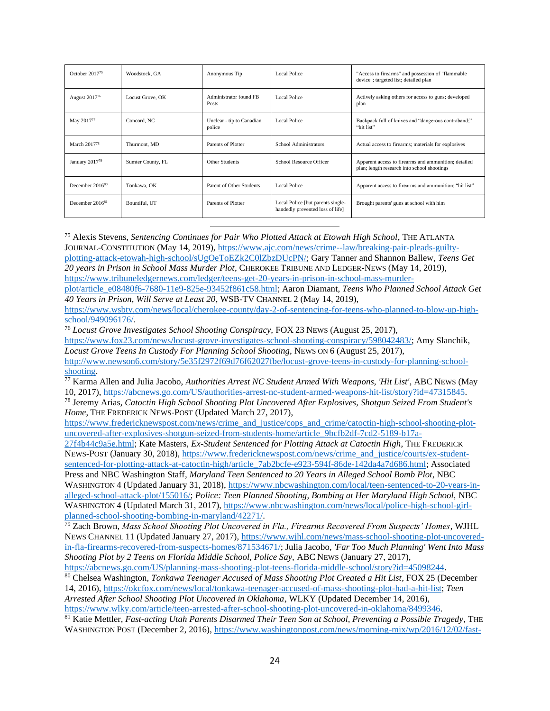| October 2017 <sup>75</sup>  | Woodstock, GA     | Anonymous Tip                       | <b>Local Police</b>                                                   | "Access to firearms" and possession of "flammable<br>device"; targeted list; detailed plan          |
|-----------------------------|-------------------|-------------------------------------|-----------------------------------------------------------------------|-----------------------------------------------------------------------------------------------------|
| August 2017 <sup>76</sup>   | Locust Grove, OK  | Administrator found FB<br>Posts     | <b>Local Police</b>                                                   | Actively asking others for access to guns; developed<br>plan                                        |
| May 2017 <sup>77</sup>      | Concord, NC       | Unclear - tip to Canadian<br>police | <b>Local Police</b>                                                   | Backpack full of knives and "dangerous contraband;"<br>"hit list"                                   |
| March 2017 <sup>78</sup>    | Thurmont, MD      | Parents of Plotter                  | <b>School Administrators</b>                                          | Actual access to firearms; materials for explosives                                                 |
| January 201779              | Sumter County, FL | Other Students                      | School Resource Officer                                               | Apparent access to firearms and ammunition; detailed<br>plan; length research into school shootings |
| December 2016 <sup>80</sup> | Tonkawa, OK       | Parent of Other Students            | <b>Local Police</b>                                                   | Apparent access to firearms and ammunition; "hit list"                                              |
| December $2016^{81}$        | Bountiful, UT     | Parents of Plotter                  | Local Police [but parents single-<br>handedly prevented loss of life] | Brought parents' guns at school with him                                                            |

<sup>75</sup> Alexis Stevens, *Sentencing Continues for Pair Who Plotted Attack at Etowah High School*, THE ATLANTA JOURNAL-CONSTITUTION (May 14, 2019)[, https://www.ajc.com/news/crime--law/breaking-pair-pleads-guilty](https://www.ajc.com/news/crime--law/breaking-pair-pleads-guilty-plotting-attack-etowah-high-school/sUgOeToEZk2C0lZbzDUcPN/)[plotting-attack-etowah-high-school/sUgOeToEZk2C0lZbzDUcPN/;](https://www.ajc.com/news/crime--law/breaking-pair-pleads-guilty-plotting-attack-etowah-high-school/sUgOeToEZk2C0lZbzDUcPN/) Gary Tanner and Shannon Ballew, *Teens Get 20 years in Prison in School Mass Murder Plot*, CHEROKEE TRIBUNE AND LEDGER-NEWS (May 14, 2019), [https://www.tribuneledgernews.com/ledger/teens-get-20-years-in-prison-in-school-mass-murder-](https://www.tribuneledgernews.com/ledger/teens-get-20-years-in-prison-in-school-mass-murder-plot/article_e08480f6-7680-11e9-825e-93452f861c58.html)

[plot/article\\_e08480f6-7680-11e9-825e-93452f861c58.html;](https://www.tribuneledgernews.com/ledger/teens-get-20-years-in-prison-in-school-mass-murder-plot/article_e08480f6-7680-11e9-825e-93452f861c58.html) Aaron Diamant, *Teens Who Planned School Attack Get 40 Years in Prison, Will Serve at Least 20*, WSB-TV CHANNEL 2 (May 14, 2019),

[https://www.wsbtv.com/news/local/cherokee-county/day-2-of-sentencing-for-teens-who-planned-to-blow-up-high](https://www.wsbtv.com/news/local/cherokee-county/day-2-of-sentencing-for-teens-who-planned-to-blow-up-high-school/949096176/)[school/949096176/.](https://www.wsbtv.com/news/local/cherokee-county/day-2-of-sentencing-for-teens-who-planned-to-blow-up-high-school/949096176/)

<sup>76</sup> *Locust Grove Investigates School Shooting Conspiracy,* FOX 23 NEWS (August 25, 2017),

[https://www.fox23.com/news/locust-grove-investigates-school-shooting-conspiracy/598042483/;](https://www.fox23.com/news/locust-grove-investigates-school-shooting-conspiracy/598042483/) Amy Slanchik, *Locust Grove Teens In Custody For Planning School Shooting*, NEWS ON 6 (August 25, 2017),

[http://www.newson6.com/story/5e35f2972f69d76f62027fbe/locust-grove-teens-in-custody-for-planning-school](http://www.newson6.com/story/5e35f2972f69d76f62027fbe/locust-grove-teens-in-custody-for-planning-school-shooting)[shooting.](http://www.newson6.com/story/5e35f2972f69d76f62027fbe/locust-grove-teens-in-custody-for-planning-school-shooting)

<sup>77</sup> Karma Allen and Julia Jacobo, *Authorities Arrest NC Student Armed With Weapons, 'Hit List'*, ABC NEWS (May 10, 2017), [https://abcnews.go.com/US/authorities-arrest-nc-student-armed-weapons-hit-list/story?id=47315845.](https://abcnews.go.com/US/authorities-arrest-nc-student-armed-weapons-hit-list/story?id=47315845)

<sup>78</sup> Jeremy Arias*, Catoctin High School Shooting Plot Uncovered After Explosives, Shotgun Seized From Student's Home*, THE FREDERICK NEWS-POST (Updated March 27, 2017),

[https://www.fredericknewspost.com/news/crime\\_and\\_justice/cops\\_and\\_crime/catoctin-high-school-shooting-plot](https://www.fredericknewspost.com/news/crime_and_justice/cops_and_crime/catoctin-high-school-shooting-plot-uncovered-after-explosives-shotgun-seized-from-students-home/article_9bcfb2df-7cd2-5189-b17a-27f4b44c9a5e.html)[uncovered-after-explosives-shotgun-seized-from-students-home/article\\_9bcfb2df-7cd2-5189-b17a-](https://www.fredericknewspost.com/news/crime_and_justice/cops_and_crime/catoctin-high-school-shooting-plot-uncovered-after-explosives-shotgun-seized-from-students-home/article_9bcfb2df-7cd2-5189-b17a-27f4b44c9a5e.html)

[27f4b44c9a5e.html;](https://www.fredericknewspost.com/news/crime_and_justice/cops_and_crime/catoctin-high-school-shooting-plot-uncovered-after-explosives-shotgun-seized-from-students-home/article_9bcfb2df-7cd2-5189-b17a-27f4b44c9a5e.html) Kate Masters, *Ex-Student Sentenced for Plotting Attack at Catoctin High*, THE FREDERICK NEWS-POST (January 30, 2018), [https://www.fredericknewspost.com/news/crime\\_and\\_justice/courts/ex-student](https://www.fredericknewspost.com/news/crime_and_justice/courts/ex-student-sentenced-for-plotting-attack-at-catoctin-high/article_7ab2bcfe-e923-594f-86de-142da4a7d686.html)[sentenced-for-plotting-attack-at-catoctin-high/article\\_7ab2bcfe-e923-594f-86de-142da4a7d686.html;](https://www.fredericknewspost.com/news/crime_and_justice/courts/ex-student-sentenced-for-plotting-attack-at-catoctin-high/article_7ab2bcfe-e923-594f-86de-142da4a7d686.html) Associated Press and NBC Washington Staff*, Maryland Teen Sentenced to 20 Years in Alleged School Bomb Plot*, NBC WASHINGTON 4 (Updated January 31, 2018), [https://www.nbcwashington.com/local/teen-sentenced-to-20-years-in](https://www.nbcwashington.com/local/teen-sentenced-to-20-years-in-alleged-school-attack-plot/155016/)[alleged-school-attack-plot/155016/;](https://www.nbcwashington.com/local/teen-sentenced-to-20-years-in-alleged-school-attack-plot/155016/) *Police: Teen Planned Shooting, Bombing at Her Maryland High School,* NBC WASHINGTON 4 (Updated March 31, 2017), [https://www.nbcwashington.com/news/local/police-high-school-girl](https://www.nbcwashington.com/news/local/police-high-school-girl-planned-school-shooting-bombing-in-maryland/42271/)[planned-school-shooting-bombing-in-maryland/42271/.](https://www.nbcwashington.com/news/local/police-high-school-girl-planned-school-shooting-bombing-in-maryland/42271/)

<sup>79</sup> Zach Brown, *Mass School Shooting Plot Uncovered in Fla., Firearms Recovered From Suspects' Homes*, WJHL NEWS CHANNEL 11 (Updated January 27, 2017), [https://www.wjhl.com/news/mass-school-shooting-plot-uncovered](https://www.wjhl.com/news/mass-school-shooting-plot-uncovered-in-fla-firearms-recovered-from-suspects-homes/871534671/)[in-fla-firearms-recovered-from-suspects-homes/871534671/;](https://www.wjhl.com/news/mass-school-shooting-plot-uncovered-in-fla-firearms-recovered-from-suspects-homes/871534671/) Julia Jacobo, *'Far Too Much Planning' Went Into Mass Shooting Plot by 2 Teens on Florida Middle School, Police Say,* ABC NEWS (January 27, 2017), [https://abcnews.go.com/US/planning-mass-shooting-plot-teens-florida-middle-school/story?id=45098244.](https://abcnews.go.com/US/planning-mass-shooting-plot-teens-florida-middle-school/story?id=45098244)

<sup>80</sup> Chelsea Washington, *Tonkawa Teenager Accused of Mass Shooting Plot Created a Hit List*, FOX 25 (December 14, 2016), [https://okcfox.com/news/local/tonkawa-teenager-accused-of-mass-shooting-plot-had-a-hit-list;](https://okcfox.com/news/local/tonkawa-teenager-accused-of-mass-shooting-plot-had-a-hit-list) *Teen Arrested After School Shooting Plot Uncovered in Oklahoma*, WLKY (Updated December 14, 2016), [https://www.wlky.com/article/teen-arrested-after-school-shooting-plot-uncovered-in-oklahoma/8499346.](https://www.wlky.com/article/teen-arrested-after-school-shooting-plot-uncovered-in-oklahoma/8499346)

<sup>81</sup> Katie Mettler*, Fast-acting Utah Parents Disarmed Their Teen Son at School, Preventing a Possible Tragedy*, THE WASHINGTON POST (December 2, 2016)[, https://www.washingtonpost.com/news/morning-mix/wp/2016/12/02/fast-](https://www.washingtonpost.com/news/morning-mix/wp/2016/12/02/fast-acting-utah-parents-disarmed-their-teen-son-at-school-preventing-a-possible-tragedy/)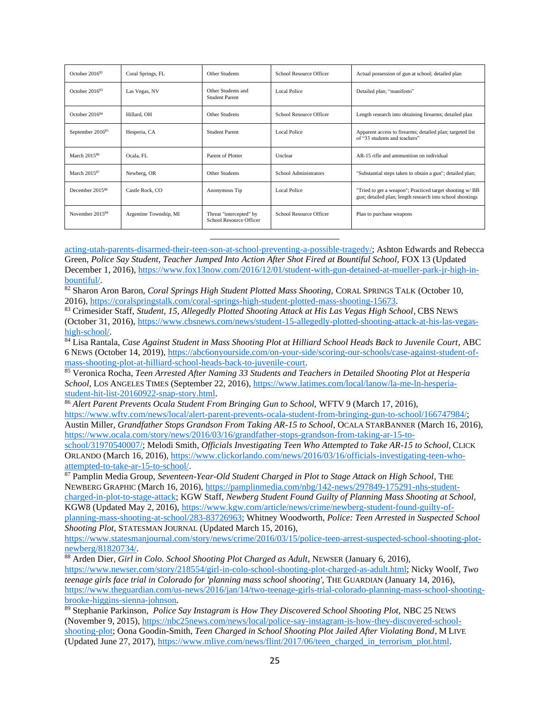| October $2016^{82}$          | Coral Springs, FL      | Other Students                                     | School Resource Officer | Actual possession of gun at school; detailed plan                                                                     |
|------------------------------|------------------------|----------------------------------------------------|-------------------------|-----------------------------------------------------------------------------------------------------------------------|
| October $2016^{83}$          | Las Vegas, NV          | Other Students and<br><b>Student Parent</b>        | Local Police            | Detailed plan; "manifesto"                                                                                            |
| October 2016 <sup>84</sup>   | Hillard, OH            | Other Students                                     | School Resource Officer | Length research into obtaining firearms; detailed plan                                                                |
| September 2016 <sup>85</sup> | Hesperia, CA           | <b>Student Parent</b>                              | <b>Local Police</b>     | Apparent access to firearms; detailed plan; targeted list<br>of "33 students and teachers"                            |
| March 2015 <sup>86</sup>     | Ocala, FL              | Parent of Plotter                                  | Unclear                 | AR-15 rifle and ammunition on individual                                                                              |
| March $2015^{87}$            | Newberg, OR            | Other Students                                     | School Administrators   | "Substantial steps taken to obtain a gun"; detailed plan;                                                             |
| December 2015 <sup>88</sup>  | Castle Rock, CO        | Anonymous Tip                                      | Local Police            | "Tried to get a weapon"; Practiced target shooting w/ BB<br>gun; detailed plan; length research into school shootings |
| November 2015 <sup>89</sup>  | Argentine Township, MI | Threat "intercepted" by<br>School Resource Officer | School Resource Officer | Plan to purchase weapons                                                                                              |

[acting-utah-parents-disarmed-their-teen-son-at-school-preventing-a-possible-tragedy/;](https://www.washingtonpost.com/news/morning-mix/wp/2016/12/02/fast-acting-utah-parents-disarmed-their-teen-son-at-school-preventing-a-possible-tragedy/) Ashton Edwards and Rebecca Green, *Police Say Student, Teacher Jumped Into Action After Shot Fired at Bountiful School,* FOX 13 (Updated December 1, 2016), [https://www.fox13now.com/2016/12/01/student-with-gun-detained-at-mueller-park-jr-high-in](https://www.fox13now.com/2016/12/01/student-with-gun-detained-at-mueller-park-jr-high-in-bountiful/)[bountiful/.](https://www.fox13now.com/2016/12/01/student-with-gun-detained-at-mueller-park-jr-high-in-bountiful/)

82 Sharon Aron Baron, *Coral Springs High Student Plotted Mass Shooting*, CORAL SPRINGS TALK (October 10, 2016), [https://coralspringstalk.com/coral-springs-high-student-plotted-mass-shooting-15673.](https://coralspringstalk.com/coral-springs-high-student-plotted-mass-shooting-15673)

<sup>83</sup> Crimesider Staff, *Student, 15, Allegedly Plotted Shooting Attack at His Las Vegas High School*, CBS NEWS (October 31, 2016), [https://www.cbsnews.com/news/student-15-allegedly-plotted-shooting-attack-at-his-las-vegas](https://www.cbsnews.com/news/student-15-allegedly-plotted-shooting-attack-at-his-las-vegas-high-school/)[high-school/.](https://www.cbsnews.com/news/student-15-allegedly-plotted-shooting-attack-at-his-las-vegas-high-school/)

<sup>84</sup> Lisa Rantala, *Case Against Student in Mass Shooting Plot at Hilliard School Heads Back to Juvenile Court*, ABC 6 NEWS (October 14, 2019), [https://abc6onyourside.com/on-your-side/scoring-our-schools/case-against-student-of](https://abc6onyourside.com/on-your-side/scoring-our-schools/case-against-student-of-mass-shooting-plot-at-hilliard-school-heads-back-to-juvenile-court)[mass-shooting-plot-at-hilliard-school-heads-back-to-juvenile-court.](https://abc6onyourside.com/on-your-side/scoring-our-schools/case-against-student-of-mass-shooting-plot-at-hilliard-school-heads-back-to-juvenile-court)

<sup>85</sup> Veronica Rocha, *Teen Arrested After Naming 33 Students and Teachers in Detailed Shooting Plot at Hesperia School*, LOS ANGELES TIMES (September 22, 2016), [https://www.latimes.com/local/lanow/la-me-ln-hesperia](https://www.latimes.com/local/lanow/la-me-ln-hesperia-student-hit-list-20160922-snap-story.html)[student-hit-list-20160922-snap-story.html.](https://www.latimes.com/local/lanow/la-me-ln-hesperia-student-hit-list-20160922-snap-story.html)

<sup>86</sup> *Alert Parent Prevents Ocala Student From Bringing Gun to School,* WFTV 9 (March 17, 2016),

[https://www.wftv.com/news/local/alert-parent-prevents-ocala-student-from-bringing-gun-to-school/166747984/;](https://www.wftv.com/news/local/alert-parent-prevents-ocala-student-from-bringing-gun-to-school/166747984/) Austin Miller, *Grandfather Stops Grandson From Taking AR-15 to School*, OCALA STARBANNER (March 16, 2016), [https://www.ocala.com/story/news/2016/03/16/grandfather-stops-grandson-from-taking-ar-15-to-](https://www.ocala.com/story/news/2016/03/16/grandfather-stops-grandson-from-taking-ar-15-to-school/31970540007/)

[school/31970540007/;](https://www.ocala.com/story/news/2016/03/16/grandfather-stops-grandson-from-taking-ar-15-to-school/31970540007/) Melodi Smith*, Officials Investigating Teen Who Attempted to Take AR-15 to School*, CLICK ORLANDO (March 16, 2016), [https://www.clickorlando.com/news/2016/03/16/officials-investigating-teen-who](https://www.clickorlando.com/news/2016/03/16/officials-investigating-teen-who-attempted-to-take-ar-15-to-school/)[attempted-to-take-ar-15-to-school/.](https://www.clickorlando.com/news/2016/03/16/officials-investigating-teen-who-attempted-to-take-ar-15-to-school/) 

<sup>87</sup> Pamplin Media Group, *Seventeen-Year-Old Student Charged in Plot to Stage Attack on High School*, THE NEWBERG GRAPHIC (March 16, 2016), [https://pamplinmedia.com/nbg/142-news/297849-175291-nhs-student](https://pamplinmedia.com/nbg/142-news/297849-175291-nhs-student-charged-in-plot-to-stage-attack)[charged-in-plot-to-stage-attack;](https://pamplinmedia.com/nbg/142-news/297849-175291-nhs-student-charged-in-plot-to-stage-attack) KGW Staff, *Newberg Student Found Guilty of Planning Mass Shooting at School,* KGW8 (Updated May 2, 2016), [https://www.kgw.com/article/news/crime/newberg-student-found-guilty-of-](https://www.kgw.com/article/news/crime/newberg-student-found-guilty-of-planning-mass-shooting-at-school/283-83726963)

[planning-mass-shooting-at-school/283-83726963;](https://www.kgw.com/article/news/crime/newberg-student-found-guilty-of-planning-mass-shooting-at-school/283-83726963) Whitney Woodworth, *Police: Teen Arrested in Suspected School Shooting Plot,* STATESMAN JOURNAL (Updated March 15, 2016),

[https://www.statesmanjournal.com/story/news/crime/2016/03/15/police-teen-arrest-suspected-school-shooting-plot](https://www.statesmanjournal.com/story/news/crime/2016/03/15/police-teen-arrest-suspected-school-shooting-plot-newberg/81820734/)[newberg/81820734/.](https://www.statesmanjournal.com/story/news/crime/2016/03/15/police-teen-arrest-suspected-school-shooting-plot-newberg/81820734/)

<sup>88</sup> Arden Dier*, Girl in Colo. School Shooting Plot Charged as Adult*, NEWSER (January 6, 2016), [https://www.newser.com/story/218554/girl-in-colo-school-shooting-plot-charged-as-adult.html;](https://www.newser.com/story/218554/girl-in-colo-school-shooting-plot-charged-as-adult.html) Nicky Woolf*, Two teenage girls face trial in Colorado for 'planning mass school shooting'*, THE GUARDIAN (January 14, 2016), [https://www.theguardian.com/us-news/2016/jan/14/two-teenage-girls-trial-colorado-planning-mass-school-shooting](https://www.theguardian.com/us-news/2016/jan/14/two-teenage-girls-trial-colorado-planning-mass-school-shooting-brooke-higgins-sienna-johnson)[brooke-higgins-sienna-johnson.](https://www.theguardian.com/us-news/2016/jan/14/two-teenage-girls-trial-colorado-planning-mass-school-shooting-brooke-higgins-sienna-johnson)

<sup>89</sup> Stephanie Parkinson, *Police Say Instagram is How They Discovered School Shooting Plot,* NBC 25 NEWS (November 9, 2015), [https://nbc25news.com/news/local/police-say-instagram-is-how-they-discovered-school](https://nbc25news.com/news/local/police-say-instagram-is-how-they-discovered-school-shooting-plot)[shooting-plot;](https://nbc25news.com/news/local/police-say-instagram-is-how-they-discovered-school-shooting-plot) Oona Goodin-Smith, *Teen Charged in School Shooting Plot Jailed After Violating Bond*, M LIVE (Updated June 27, 2017), [https://www.mlive.com/news/flint/2017/06/teen\\_charged\\_in\\_terrorism\\_plot.html.](https://www.mlive.com/news/flint/2017/06/teen_charged_in_terrorism_plot.html)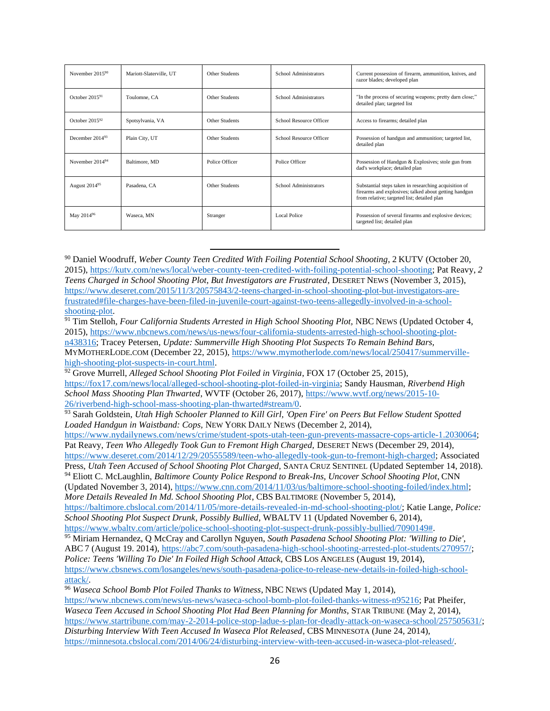| November $201590$           | Mariott-Slaterville, UT | Other Students | School Administrators        | Current possession of firearm, ammunition, knives, and<br>razor blades; developed plan                                                                        |
|-----------------------------|-------------------------|----------------|------------------------------|---------------------------------------------------------------------------------------------------------------------------------------------------------------|
| October $2015^{91}$         | Toulomne, CA            | Other Students | <b>School Administrators</b> | "In the process of securing weapons; pretty darn close;"<br>detailed plan; targeted list                                                                      |
| October $2015^{92}$         | Spotsylvania, VA        | Other Students | School Resource Officer      | Access to firearms; detailed plan                                                                                                                             |
| December 2014 <sup>93</sup> | Plain City, UT          | Other Students | School Resource Officer      | Possession of handgun and ammunition; targeted list,<br>detailed plan                                                                                         |
| November 2014 <sup>94</sup> | Baltimore, MD           | Police Officer | Police Officer               | Possession of Handgun & Explosives; stole gun from<br>dad's workplace; detailed plan                                                                          |
| August 2014 <sup>95</sup>   | Pasadena, CA            | Other Students | School Administrators        | Substantial steps taken in researching acquisition of<br>firearms and explosives; talked about getting handgun<br>from relative; targeted list; detailed plan |
| May 2014 <sup>96</sup>      | Waseca, MN              | Stranger       | <b>Local Police</b>          | Possession of several firearms and explosive devices;<br>targeted list; detailed plan                                                                         |

<sup>90</sup> Daniel Woodruff, *Weber County Teen Credited With Foiling Potential School Shooting*, 2 KUTV (October 20, 2015), [https://kutv.com/news/local/weber-county-teen-credited-with-foiling-potential-school-shooting;](https://kutv.com/news/local/weber-county-teen-credited-with-foiling-potential-school-shooting) Pat Reavy, *2 Teens Charged in School Shooting Plot, But Investigators are Frustrated*, DESERET NEWS (November 3, 2015), [https://www.deseret.com/2015/11/3/20575843/2-teens-charged-in-school-shooting-plot-but-investigators-are](https://www.deseret.com/2015/11/3/20575843/2-teens-charged-in-school-shooting-plot-but-investigators-are-frustrated#file-charges-have-been-filed-in-juvenile-court-against-two-teens-allegedly-involved-in-a-school-shooting-plot)[frustrated#file-charges-have-been-filed-in-juvenile-court-against-two-teens-allegedly-involved-in-a-school](https://www.deseret.com/2015/11/3/20575843/2-teens-charged-in-school-shooting-plot-but-investigators-are-frustrated#file-charges-have-been-filed-in-juvenile-court-against-two-teens-allegedly-involved-in-a-school-shooting-plot)[shooting-plot.](https://www.deseret.com/2015/11/3/20575843/2-teens-charged-in-school-shooting-plot-but-investigators-are-frustrated#file-charges-have-been-filed-in-juvenile-court-against-two-teens-allegedly-involved-in-a-school-shooting-plot) 

<sup>91</sup> Tim Stelloh, *Four California Students Arrested in High School Shooting Plot*, NBC NEWS (Updated October 4, 2015), [https://www.nbcnews.com/news/us-news/four-california-students-arrested-high-school-shooting-plot](https://www.nbcnews.com/news/us-news/four-california-students-arrested-high-school-shooting-plot-n438316)[n438316;](https://www.nbcnews.com/news/us-news/four-california-students-arrested-high-school-shooting-plot-n438316) Tracey Petersen, *Update: Summerville High Shooting Plot Suspects To Remain Behind Bars,* MYMOTHERLODE.COM (December 22, 2015), [https://www.mymotherlode.com/news/local/250417/summerville](https://www.mymotherlode.com/news/local/250417/summerville-high-shooting-plot-suspects-in-court.html)[high-shooting-plot-suspects-in-court.html.](https://www.mymotherlode.com/news/local/250417/summerville-high-shooting-plot-suspects-in-court.html)

<sup>92</sup> Grove Murrell, *Alleged School Shooting Plot Foiled in Virginia*, FOX 17 (October 25, 2015), [https://fox17.com/news/local/alleged-school-shooting-plot-foiled-in-virginia;](https://fox17.com/news/local/alleged-school-shooting-plot-foiled-in-virginia) Sandy Hausman, *Riverbend High School Mass Shooting Plan Thwarted*, WVTF (October 26, 2017), [https://www.wvtf.org/news/2015-10-](https://www.wvtf.org/news/2015-10-26/riverbend-high-school-mass-shooting-plan-thwarted#stream/0) [26/riverbend-high-school-mass-shooting-plan-thwarted#stream/0.](https://www.wvtf.org/news/2015-10-26/riverbend-high-school-mass-shooting-plan-thwarted#stream/0)

<sup>93</sup> Sarah Goldstein, *Utah High Schooler Planned to Kill Girl, 'Open Fire' on Peers But Fellow Student Spotted Loaded Handgun in Waistband: Cops,* NEW YORK DAILY NEWS (December 2, 2014),

[https://www.nydailynews.com/news/crime/student-spots-utah-teen-gun-prevents-massacre-cops-article-1.2030064;](https://www.nydailynews.com/news/crime/student-spots-utah-teen-gun-prevents-massacre-cops-article-1.2030064) Pat Reavy, *Teen Who Allegedly Took Gun to Fremont High Charged,* DESERET NEWS (December 29, 2014), [https://www.deseret.com/2014/12/29/20555589/teen-who-allegedly-took-gun-to-fremont-high-charged;](https://www.deseret.com/2014/12/29/20555589/teen-who-allegedly-took-gun-to-fremont-high-charged) Associated

Press, *Utah Teen Accused of School Shooting Plot Charged,* SANTA CRUZ SENTINEL (Updated September 14, 2018). <sup>94</sup> Eliott C. McLaughlin, *Baltimore County Police Respond to Break-Ins, Uncover School Shooting Plot, CNN* 

(Updated November 3, 2014)[, https://www.cnn.com/2014/11/03/us/baltimore-school-shooting-foiled/index.html;](https://www.cnn.com/2014/11/03/us/baltimore-school-shooting-foiled/index.html) *More Details Revealed In Md. School Shooting Plot*, CBS BALTIMORE (November 5, 2014),

[https://baltimore.cbslocal.com/2014/11/05/more-details-revealed-in-md-school-shooting-plot/;](https://baltimore.cbslocal.com/2014/11/05/more-details-revealed-in-md-school-shooting-plot/) Katie Lange*, Police: School Shooting Plot Suspect Drunk, Possibly Bullied*, WBALTV 11 (Updated November 6, 2014),

[https://www.wbaltv.com/article/police-school-shooting-plot-suspect-drunk-possibly-bullied/7090149#.](https://www.wbaltv.com/article/police-school-shooting-plot-suspect-drunk-possibly-bullied/7090149) <sup>95</sup> Miriam Hernandez, Q McCray and Carollyn Nguyen, *South Pasadena School Shooting Plot: 'Willing to Die',* ABC 7 (August 19. 2014), [https://abc7.com/south-pasadena-high-school-shooting-arrested-plot-students/270957/;](https://abc7.com/south-pasadena-high-school-shooting-arrested-plot-students/270957/) *Police: Teens 'Willing To Die' In Foiled High School Attack,* CBS LOS ANGELES (August 19, 2014), [https://www.cbsnews.com/losangeles/news/south-pasadena-police-to-release-new-details-in-foiled-high-school](https://www.cbsnews.com/losangeles/news/south-pasadena-police-to-release-new-details-in-foiled-high-school-attack/)[attack/.](https://www.cbsnews.com/losangeles/news/south-pasadena-police-to-release-new-details-in-foiled-high-school-attack/)

<sup>96</sup> *Waseca School Bomb Plot Foiled Thanks to Witness*, NBC NEWS (Updated May 1, 2014),

[https://www.nbcnews.com/news/us-news/waseca-school-bomb-plot-foiled-thanks-witness-n95216;](https://www.nbcnews.com/news/us-news/waseca-school-bomb-plot-foiled-thanks-witness-n95216) Pat Pheifer, *Waseca Teen Accused in School Shooting Plot Had Been Planning for Months*, STAR TRIBUNE (May 2, 2014), [https://www.startribune.com/may-2-2014-police-stop-ladue-s-plan-for-deadly-attack-on-waseca-school/257505631/;](https://www.startribune.com/may-2-2014-police-stop-ladue-s-plan-for-deadly-attack-on-waseca-school/257505631/) *Disturbing Interview With Teen Accused In Waseca Plot Released*, CBS MINNESOTA (June 24, 2014), [https://minnesota.cbslocal.com/2014/06/24/disturbing-interview-with-teen-accused-in-waseca-plot-released/.](https://minnesota.cbslocal.com/2014/06/24/disturbing-interview-with-teen-accused-in-waseca-plot-released/)